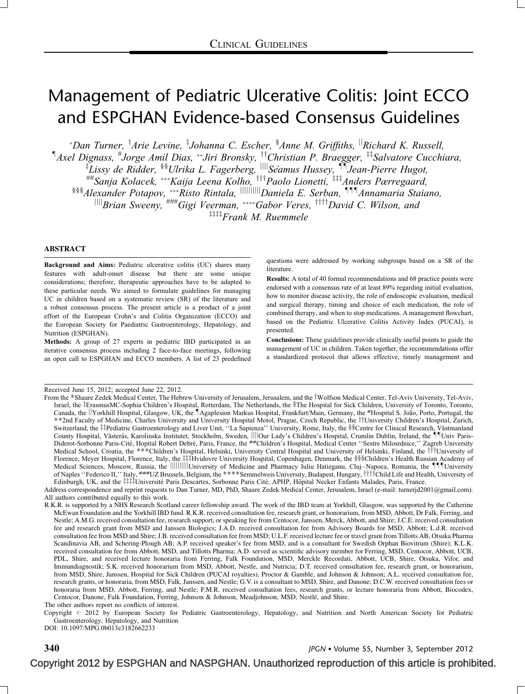# Management of Pediatric Ulcerative Colitis: Joint ECCO and ESPGHAN Evidence-based Consensus Guidelines

\*Dan Turner, <sup>†</sup>Arie Levine, <sup>‡</sup>Johanna C. Escher, <sup>§</sup>Anne M. Griffiths, <sup>||</sup>Richard K. Russell,  $\P$ Axel Dignass,  $^{\#}$ Jorge Amil Dias, \*\*Jiri Bronsky,  $\overline{\hbox{!}}$ Christian P. Braegger,  $\hbox{!}$ <sup>ti</sup>Salvatore Cucchiara, <sup>‡</sup>Lissy de Ridder, <sup>§§</sup>Ulrika L. Fagerberg, <sup>||||</sup>Séamus Hussey, <sup>¶T</sup>Jean-Pierre Hugot, ##Sanja Kolacek, \*\*\*Kaija Leena Kolho, <sup>†††</sup>Paolo Lionetti, <sup>‡‡‡</sup>Anders Pærregaard, §§§Alexander Potapov, \*\*\*Risto Rintala, ||||||||||||Daniela E. Serban, <sup>¶¶¶</sup>Annamaria Staiano,  $\Box$ Brian Sweeny,  $\Box$ <sup>###</sup>Gigi Veerman, \*\*\*\*Gabor Veres,  $\Box$ <sup>1111</sup>David C. Wilson, and  $\frac{1}{1111}$ Frank M. Ruemmele

#### ABSTRACT

Background and Aims: Pediatric ulcerative colitis (UC) shares many features with adult-onset disease but there are some unique considerations; therefore, therapeutic approaches have to be adapted to these particular needs. We aimed to formulate guidelines for managing UC in children based on a systematic review (SR) of the literature and a robust consensus process. The present article is a product of a joint effort of the European Crohn's and Colitis Organization (ECCO) and the European Society for Paediatric Gastroenterology, Hepatology, and Nutrition (ESPGHAN).

Methods: A group of 27 experts in pediatric IBD participated in an iterative consensus process including 2 face-to-face meetings, following an open call to ESPGHAN and ECCO members. A list of 23 predefined questions were addressed by working subgroups based on a SR of the **literature** 

Results: A total of 40 formal recommendations and 68 practice points were endorsed with a consensus rate of at least 89% regarding initial evaluation, how to monitor disease activity, the role of endoscopic evaluation, medical and surgical therapy, timing and choice of each medication, the role of combined therapy, and when to stop medications. A management flowchart, based on the Pediatric Ulcerative Colitis Activity Index (PUCAI), is presented.

Conclusions: These guidelines provide clinically useful points to guide the management of UC in children. Taken together, the recommendations offer a standardized protocol that allows effective, timely management and

Received June 15, 2012; accepted June 22, 2012.

From the \*Shaare Zedek Medical Center, The Hebrew University of Jerusalem, Jerusalem, and the <sup>†</sup>Wolfson Medical Center, Tel-Aviv University, Tel-Aviv, Israel, the ‡ErasmusMC-Sophia Children's Hospital, Rotterdam, The Netherlands, the §The Hospital for Sick Children, University of Toronto, Toronto, Toronto, Toronto, Toronto, Toronto, Toronto, Toronto, Toronto, Toronto, To \*\*2nd Faculty of Medicine, Charles University and University Hospital Motol, Prague, Czech Republic, the †University Children's Hospital, Zurich, Switzerland, the #Pediatric Gastroenterology and Liver Unit, ''La Sapienza'' University, Rome, Italy, the §§Centre for Clinical Research, Västmanland County Hospital, Västerås, Karolinska Institutet, Stockholm, Sweden, ||||Our Lady's Children's Hospital, Crumlin Dublin, Ireland, the ¶Univ Paris-Diderot-Sorbonne Paris-Cité, Hopital Robert Debré, Paris, France, the ##Children's Hospital, Medical Center "Sestre Milosrdnice," Zagreb University Medical School, Croatia, the \*\*\*Children's Hospital, Helsinki, University Central Hospital and University of Helsinki, Finland, the †††University of Florence, Meyer Hospital, Florence, Italy, the ##Hvidovre University Hospital, Copenhagen, Denmark, the §§§Children's Health Russian Academy of Medical Sciences, Moscow, Russia, the *illillilliuniversity* of Medicine and Pharmacy Iuliu Hatieganu, Cluj–Napoca, Romania, the Illiuniversity of Naples "Federico II," Italy, ###UZ Brussels, Belgium, the \*\*\*\*Semmelweis University, Budapest, Hungary, †††fChild Life and Health, University of Edinburgh, UK, and the ###Universite Paris Descartes, Sorbonne Paris Cite, APHP, Hôpital Necker Enfants Malades, Paris, France.

Address correspondence and reprint requests to Dan Turner, MD, PhD, Shaare Zedek Medical Center, Jerusalem, Israel (e-mail: [turnerjd2001@gmail.com\)](mailto:turnerjd2001@gmail.com). All authors contributed equally to this work.

R.K.R. is supported by a NHS Research Scotland career fellowship award. The work of the IBD team at Yorkhill, Glasgow, was supported by the Catherine McEwan Foundation and the Yorkhill IBD fund. R.K.R. received consultation fee, research grant, or honorarium, from MSD, Abbott, Dr Falk, Ferring, and Nestle; A.M.G. received consultation fee, research support, or speaking fee from Centocor, Janssen, Merck, Abbott, and Shire; J.C.E. received consultation fee and research grant from MSD and Janssen Biologics; J.A.D. received consultation fee from Advisory Boards for MSD, Abbott; L.d.R. received consultation fee from MSD and Shire; J.B. received consultation fee from MSD; U.L.F. received lecture fee or travel grant from Tillotts AB, Otsuka Pharma Scandinavia AB, and Schering-Plough AB; A.P. received speaker's fee from MSD, and is a consultant for Swedish Orphan Biovitrum (Shire); K.L.K. received consultation fee from Abbott, MSD, and Tillotts Pharma; A.D. served as scientific advisory member for Ferring, MSD, Centocor, Abbott, UCB, PDL, Shire, and received lecture honoraria from Ferring, Falk Foundation, MSD, Merckle Recordati, Abbott, UCB, Shire, Otsuka, Vifor, and Immundiagnostik; S.K. received honorarium from MSD, Abbott, Nestle, and Nutricia; D.T. received consultation fee, research grant, or honorarium, from MSD, Shire, Janssen, Hospital for Sick Children (PUCAI royalties), Proctor & Gamble, and Johnson & Johnson; A.L. received consultation fee, research grants, or honoraria, from MSD, Falk, Janssen, and Nestle; G.V. is a consultant to MSD, Shire, and Danone; D.C.W. received consultation fees or honoraria from MSD, Abbott, Ferring, and Nestle; F.M.R. received consultation fees, research grants, or lecture honoraria from Abbott, Biocodex, Centocor, Danone, Falk Foundation, Ferring, Johnson & Johnson, Meadjohnson, MSD, Nestlé, and Shire.

The other authors report no conflicts of interest.

Copyright <sup>©</sup> 2012 by European Society for Pediatric Gastroenterology, Hepatology, and Nutrition and North American Society for Pediatric Gastroenterology, Hepatology, and Nutrition

DOI: [10.1097/MPG.0b013e3182662233](http://dx.doi.org/10.1097/MPG.0b013e3182662233)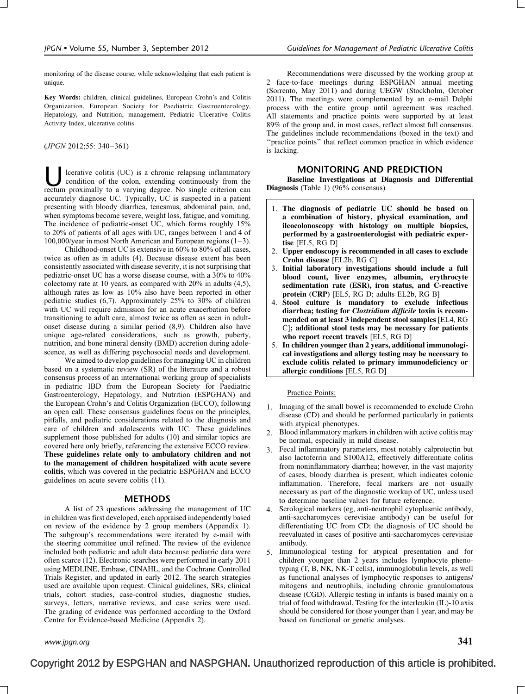monitoring of the disease course, while acknowledging that each patient is unique.

Key Words: children, clinical guidelines, European Crohn's and Colitis Organization, European Society for Paediatric Gastroenterology, Hepatology, and Nutrition, management, Pediatric Ulcerative Colitis Activity Index, ulcerative colitis

(JPGN 2012;55: 340–361)

Leerative colitis (UC) is a chronic relapsing inflammatory condition of the colon, extending continuously from the rectum proximally to a varying degree. No single criterion can condition of the colon, extending continuously from the accurately diagnose UC. Typically, UC is suspected in a patient presenting with bloody diarrhea, tenesmus, abdominal pain, and, when symptoms become severe, weight loss, fatigue, and vomiting. The incidence of pediatric-onset UC, which forms roughly 15% to 20% of patients of all ages with UC, ranges between 1 and 4 of 100,000/year in most North American and European regions [\(1–3\).](#page-14-0)

Childhood-onset UC is extensive in 60% to 80% of all cases, twice as often as in adults [\(4\).](#page-14-0) Because disease extent has been consistently associated with disease severity, it is not surprising that pediatric-onset UC has a worse disease course, with a 30% to 40% colectomy rate at 10 years, as compared with 20% in adults [\(4,5\),](#page-14-0) although rates as low as 10% also have been reported in other pediatric studies [\(6,7\)](#page-14-0). Approximately 25% to 30% of children with UC will require admission for an acute exacerbation before transitioning to adult care, almost twice as often as seen in adultonset disease during a similar period [\(8,9\)](#page-14-0). Children also have unique age-related considerations, such as growth, puberty, nutrition, and bone mineral density (BMD) accretion during adolescence, as well as differing psychosocial needs and development.

We aimed to develop guidelines for managing UC in children based on a systematic review (SR) of the literature and a robust consensus process of an international working group of specialists in pediatric IBD from the European Society for Paediatric Gastroenterology, Hepatology, and Nutrition (ESPGHAN) and the European Crohn's and Colitis Organization (ECCO), following an open call. These consensus guidelines focus on the principles, pitfalls, and pediatric considerations related to the diagnosis and care of children and adolescents with UC. These guidelines supplement those published for adults [\(10\)](#page-14-0) and similar topics are covered here only briefly, referencing the extensive ECCO review. These guidelines relate only to ambulatory children and not to the management of children hospitalized with acute severe colitis, which was covered in the pediatric ESPGHAN and ECCO guidelines on acute severe colitis [\(11\)](#page-14-0).

#### METHODS

A list of 23 questions addressing the management of UC in children was first developed, each appraised independently based on review of the evidence by 2 group members (Appendix 1). The subgroup's recommendations were iterated by e-mail with the steering committee until refined. The review of the evidence included both pediatric and adult data because pediatric data were often scarce [\(12\).](#page-14-0) Electronic searches were performed in early 2011 using MEDLINE, Embase, CINAHL, and the Cochrane Controlled Trials Register, and updated in early 2012. The search strategies used are available upon request. Clinical guidelines, SRs, clinical trials, cohort studies, case-control studies, diagnostic studies, surveys, letters, narrative reviews, and case series were used. The grading of evidence was performed according to the Oxford Centre for Evidence-based Medicine (Appendix 2).

Recommendations were discussed by the working group at 2 face-to-face meetings during ESPGHAN annual meeting (Sorrento, May 2011) and during UEGW (Stockholm, October 2011). The meetings were complemented by an e-mail Delphi process with the entire group until agreement was reached. All statements and practice points were supported by at least 89% of the group and, in most cases, reflect almost full consensus. The guidelines include recommendations (boxed in the text) and "practice points" that reflect common practice in which evidence is lacking.

### MONITORING AND PREDICTION

Baseline Investigations at Diagnosis and Differential Diagnosis [\(Table 1](#page-2-0)) (96% consensus)

- 1. The diagnosis of pediatric UC should be based on a combination of history, physical examination, and ileocolonoscopy with histology on multiple biopsies, performed by a gastroenterologist with pediatric expertise [EL5, RG D]
- 2. Upper endoscopy is recommended in all cases to exclude Crohn disease [EL2b, RG C]
- 3. Initial laboratory investigations should include a full blood count, liver enzymes, albumin, erythrocyte sedimentation rate (ESR), iron status, and C-reactive protein (CRP) [EL5, RG D; adults EL2b, RG B]
- 4. Stool culture is mandatory to exclude infectious diarrhea; testing for Clostridium difficile toxin is recommended on at least 3 independent stool samples [EL4, RG C]; additional stool tests may be necessary for patients who report recent travels [EL5, RG D]
- 5. In children younger than 2 years, additional immunological investigations and allergy testing may be necessary to exclude colitis related to primary immunodeficiency or allergic conditions [EL5, RG D]

#### Practice Points:

- 1. Imaging of the small bowel is recommended to exclude Crohn disease (CD) and should be performed particularly in patients with atypical phenotypes.
- 2. Blood inflammatory markers in children with active colitis may be normal, especially in mild disease.
- 3. Fecal inflammatory parameters, most notably calprotectin but also lactoferrin and S100A12, effectively differentiate colitis from noninflammatory diarrhea; however, in the vast majority of cases, bloody diarrhea is present, which indicates colonic inflammation. Therefore, fecal markers are not usually necessary as part of the diagnostic workup of UC, unless used to determine baseline values for future reference.
- 4. Serological markers (eg, anti-neutrophil cytoplasmic antibody, anti-saccharomyces cerevisiae antibody) can be useful for differentiating UC from CD; the diagnosis of UC should be reevaluated in cases of positive anti-saccharomyces cerevisiae antibody.
- 5. Immunological testing for atypical presentation and for children younger than 2 years includes lymphocyte phenotyping (T, B, NK, NK-T cells), immunoglobulin levels, as well as functional analyses of lymphocytic responses to antigens/ mitogens and neutrophils, including chronic granulomatous disease (CGD). Allergic testing in infants is based mainly on a trial of food withdrawal. Testing for the interleukin (IL)-10 axis should be considered for those younger than 1 year, and may be based on functional or genetic analyses.

www.jpgn.org  $341$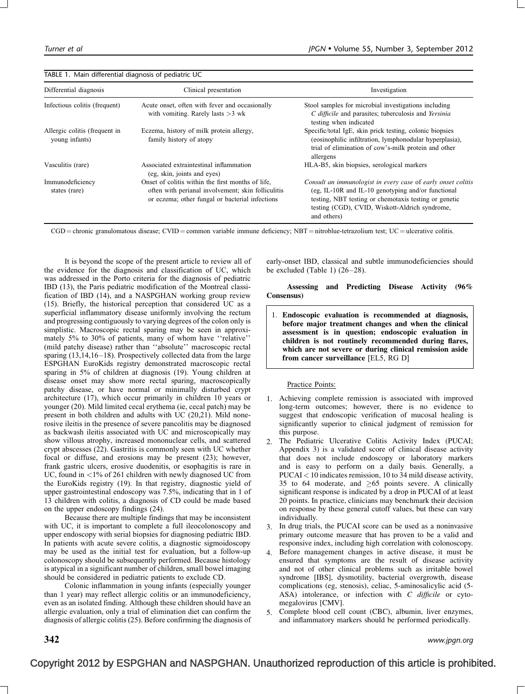| Differential diagnosis                          | Clinical presentation                                                                                                                                      | Investigation                                                                                                                                                                                                                                |
|-------------------------------------------------|------------------------------------------------------------------------------------------------------------------------------------------------------------|----------------------------------------------------------------------------------------------------------------------------------------------------------------------------------------------------------------------------------------------|
| Infectious colitis (frequent)                   | Acute onset, often with fever and occasionally<br>with vomiting. Rarely lasts $>3$ wk                                                                      | Stool samples for microbial investigations including<br>C difficile and parasites; tuberculosis and Yersinia<br>testing when indicated                                                                                                       |
| Allergic colitis (frequent in<br>young infants) | Eczema, history of milk protein allergy,<br>family history of atopy                                                                                        | Specific/total IgE, skin prick testing, colonic biopsies<br>(eosinophilic infiltration, lymphonodular hyperplasia),<br>trial of elimination of cow's-milk protein and other<br>allergens                                                     |
| Vasculitis (rare)                               | Associated extraintestinal inflammation<br>(eg, skin, joints and eyes)                                                                                     | HLA-B5, skin biopsies, serological markers                                                                                                                                                                                                   |
| Immunodeficiency<br>states (rare)               | Onset of colitis within the first months of life,<br>often with perianal involvement; skin folliculitis<br>or eczema; other fungal or bacterial infections | Consult an immunologist in every case of early onset colitis<br>(eg, IL-10R and IL-10 genotyping and/or functional<br>testing, NBT testing or chemotaxis testing or genetic<br>testing (CGD), CVID, Wiskott-Aldrich syndrome,<br>and others) |

<span id="page-2-0"></span>TABLE 1. Main differential diagnosis of pediatric UC

 $CGD =$ chronic granulomatous disease;  $CVID =$ common variable immune deficiency; NBT = nitroblue-tetrazolium test;  $UC =$ ulcerative colitis.

It is beyond the scope of the present article to review all of the evidence for the diagnosis and classification of UC, which was addressed in the Porto criteria for the diagnosis of pediatric IBD [\(13\),](#page-14-0) the Paris pediatric modification of the Montreal classification of IBD [\(14\)](#page-14-0), and a NASPGHAN working group review [\(15\)](#page-15-0). Briefly, the historical perception that considered UC as a superficial inflammatory disease uniformly involving the rectum and progressing contiguously to varying degrees of the colon only is simplistic. Macroscopic rectal sparing may be seen in approximately 5% to 30% of patients, many of whom have ''relative'' (mild patchy disease) rather than ''absolute'' macroscopic rectal sparing [\(13,14,16–18\)](#page-14-0). Prospectively collected data from the large ESPGHAN EuroKids registry demonstrated macroscopic rectal sparing in 5% of children at diagnosis [\(19\)](#page-15-0). Young children at disease onset may show more rectal sparing, macroscopically patchy disease, or have normal or minimally disturbed crypt architecture [\(17\)](#page-15-0), which occur primarily in children 10 years or younger [\(20\).](#page-15-0) Mild limited cecal erythema (ie, cecal patch) may be present in both children and adults with UC [\(20,21\)](#page-15-0). Mild nonerosive ileitis in the presence of severe pancolitis may be diagnosed as backwash ileitis associated with UC and microscopically may show villous atrophy, increased mononuclear cells, and scattered crypt abscesses [\(22\).](#page-15-0) Gastritis is commonly seen with UC whether focal or diffuse, and erosions may be present [\(23\)](#page-15-0); however, frank gastric ulcers, erosive duodenitis, or esophagitis is rare in UC, found in <1% of 261 children with newly diagnosed UC from the EuroKids registry [\(19\)](#page-15-0). In that registry, diagnostic yield of upper gastrointestinal endoscopy was 7.5%, indicating that in 1 of 13 children with colitis, a diagnosis of CD could be made based on the upper endoscopy findings [\(24\)](#page-15-0).

Because there are multiple findings that may be inconsistent with UC, it is important to complete a full ileocolonoscopy and upper endoscopy with serial biopsies for diagnosing pediatric IBD. In patients with acute severe colitis, a diagnostic sigmoidoscopy may be used as the initial test for evaluation, but a follow-up colonoscopy should be subsequently performed. Because histology is atypical in a significant number of children, small bowel imaging should be considered in pediatric patients to exclude CD.

Colonic inflammation in young infants (especially younger than 1 year) may reflect allergic colitis or an immunodeficiency, even as an isolated finding. Although these children should have an allergic evaluation, only a trial of elimination diet can confirm the diagnosis of allergic colitis [\(25\).](#page-15-0) Before confirming the diagnosis of

early-onset IBD, classical and subtle immunodeficiencies should be excluded (Table 1) [\(26–28\)](#page-15-0).

Assessing and Predicting Disease Activity (96% Consensus)

1. Endoscopic evaluation is recommended at diagnosis, before major treatment changes and when the clinical assessment is in question; endoscopic evaluation in children is not routinely recommended during flares, which are not severe or during clinical remission aside from cancer surveillance [EL5, RG D]

#### Practice Points:

- 1. Achieving complete remission is associated with improved long-term outcomes; however, there is no evidence to suggest that endoscopic verification of mucosal healing is significantly superior to clinical judgment of remission for this purpose.
- The Pediatric Ulcerative Colitis Activity Index (PUCAI; Appendix 3) is a validated score of clinical disease activity that does not include endoscopy or laboratory markers and is easy to perform on a daily basis. Generally, a PUCAI < 10 indicates remission, 10 to 34 mild disease activity, 35 to 64 moderate, and  $\geq 65$  points severe. A clinically significant response is indicated by a drop in PUCAI of at least 20 points. In practice, clinicians may benchmark their decision on response by these general cutoff values, but these can vary individually.
- 3. In drug trials, the PUCAI score can be used as a noninvasive primary outcome measure that has proven to be a valid and responsive index, including high correlation with colonoscopy.
- 4. Before management changes in active disease, it must be ensured that symptoms are the result of disease activity and not of other clinical problems such as irritable bowel syndrome [IBS], dysmotility, bacterial overgrowth, disease complications (eg, stenosis), celiac, 5-aminosalicylic acid (5- ASA) intolerance, or infection with C difficile or cytomegalovirus [CMV].
- 5. Complete blood cell count (CBC), albumin, liver enzymes, and inflammatory markers should be performed periodically.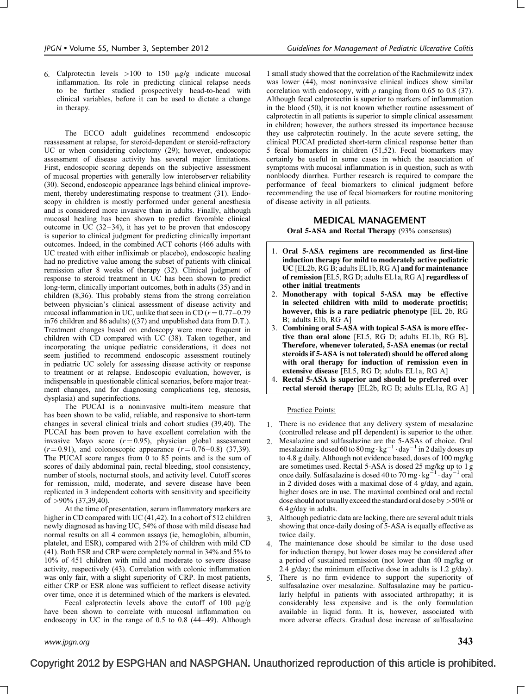6. Calprotectin levels  $>100$  to 150  $\mu$ g/g indicate mucosal inflammation. Its role in predicting clinical relapse needs to be further studied prospectively head-to-head with clinical variables, before it can be used to dictate a change in therapy.

The ECCO adult guidelines recommend endoscopic reassessment at relapse, for steroid-dependent or steroid-refractory UC or when considering colectomy [\(29\)](#page-15-0); however, endoscopic assessment of disease activity has several major limitations. First, endoscopic scoring depends on the subjective assessment of mucosal properties with generally low interobserver reliability [\(30\)](#page-15-0). Second, endoscopic appearance lags behind clinical improvement, thereby underestimating response to treatment [\(31\)](#page-15-0). Endoscopy in children is mostly performed under general anesthesia and is considered more invasive than in adults. Finally, although mucosal healing has been shown to predict favorable clinical outcome in UC  $(32-34)$ , it has yet to be proven that endoscopy is superior to clinical judgment for predicting clinically important outcomes. Indeed, in the combined ACT cohorts (466 adults with UC treated with either infliximab or placebo), endoscopic healing had no predictive value among the subset of patients with clinical remission after 8 weeks of therapy [\(32\)](#page-15-0). Clinical judgment of response to steroid treatment in UC has been shown to predict long-term, clinically important outcomes, both in adults [\(35\)](#page-15-0) and in children [\(8,36\).](#page-14-0) This probably stems from the strong correlation between physician's clinical assessment of disease activity and mucosal inflammation in UC, unlike that seen in CD ( $r = 0.77-0.79$ ) in76 children and 86 adults) [\(\(37\)](#page-15-0) and unpublished data from D.T.). Treatment changes based on endoscopy were more frequent in children with CD compared with UC [\(38\)](#page-15-0). Taken together, and incorporating the unique pediatric considerations, it does not seem justified to recommend endoscopic assessment routinely in pediatric UC solely for assessing disease activity or response to treatment or at relapse. Endoscopic evaluation, however, is indispensable in questionable clinical scenarios, before major treatment changes, and for diagnosing complications (eg, stenosis, dysplasia) and superinfections.

The PUCAI is a noninvasive multi-item measure that has been shown to be valid, reliable, and responsive to short-term changes in several clinical trials and cohort studies [\(39,40\)](#page-15-0). The PUCAI has been proven to have excellent correlation with the invasive Mayo score  $(r = 0.95)$ , physician global assessment  $(r = 0.91)$ , and colonoscopic appearance  $(r = 0.76-0.8)$  [\(37,39\).](#page-15-0) The PUCAI score ranges from 0 to 85 points and is the sum of scores of daily abdominal pain, rectal bleeding, stool consistency, number of stools, nocturnal stools, and activity level. Cutoff scores for remission, mild, moderate, and severe disease have been replicated in 3 independent cohorts with sensitivity and specificity of  $>90\%$  [\(37,39,40\)](#page-15-0).

At the time of presentation, serum inflammatory markers are higher in CD compared with UC [\(41,42\)](#page-15-0). In a cohort of 512 children newly diagnosed as having UC, 54% of those with mild disease had normal results on all 4 common assays (ie, hemoglobin, albumin, platelet, and ESR), compared with 21% of children with mild CD [\(41\)](#page-15-0). Both ESR and CRP were completely normal in 34% and 5% to 10% of 451 children with mild and moderate to severe disease activity, respectively [\(43\)](#page-15-0). Correlation with colonic inflammation was only fair, with a slight superiority of CRP. In most patients, either CRP or ESR alone was sufficient to reflect disease activity over time, once it is determined which of the markers is elevated.

Fecal calprotectin levels above the cutoff of 100  $\mu$ g/g have been shown to correlate with mucosal inflammation on endoscopy in UC in the range of 0.5 to 0.8 [\(44–49\)](#page-15-0). Although

www.jpgn.org  $343$ 

1 small study showed that the correlation of the Rachmilewitz index was lower [\(44\),](#page-15-0) most noninvasive clinical indices show similar correlation with endoscopy, with  $\rho$  ranging from 0.65 to 0.8 [\(37\)](#page-15-0). Although fecal calprotectin is superior to markers of inflammation in the blood [\(50\),](#page-15-0) it is not known whether routine assessment of calprotectin in all patients is superior to simple clinical assessment in children; however, the authors stressed its importance because they use calprotectin routinely. In the acute severe setting, the clinical PUCAI predicted short-term clinical response better than 5 fecal biomarkers in children [\(51,52\)](#page-15-0). Fecal biomarkers may certainly be useful in some cases in which the association of symptoms with mucosal inflammation is in question, such as with nonbloody diarrhea. Further research is required to compare the performance of fecal biomarkers to clinical judgment before recommending the use of fecal biomarkers for routine monitoring of disease activity in all patients.

#### MEDICAL MANAGEMENT Oral 5-ASA and Rectal Therapy (93% consensus)

- 1. Oral 5-ASA regimens are recommended as first-line induction therapy for mild to moderately active pediatric UC [EL2b, RG B; adults EL1b, RG A] and for maintenance of remission [EL5, RG D; adults EL1a, RG A] regardless of other initial treatments
- 2. Monotherapy with topical 5-ASA may be effective in selected children with mild to moderate proctitis; however, this is a rare pediatric phenotype [EL 2b, RG B; adults E1b, RG A]
- 3. Combining oral 5-ASA with topical 5-ASA is more effective than oral alone [EL5, RG D; adults EL1b, RG B]. Therefore, whenever tolerated, 5-ASA enemas (or rectal steroids if 5-ASA is not tolerated) should be offered along with oral therapy for induction of remission even in extensive disease [EL5, RG D; adults EL1a, RG A]
- 4. Rectal 5-ASA is superior and should be preferred over rectal steroid therapy [EL2b, RG B; adults EL1a, RG A]

#### Practice Points:

- 1. There is no evidence that any delivery system of mesalazine (controlled release and pH dependent) is superior to the other.
- Mesalazine and sulfasalazine are the 5-ASAs of choice. Oral mesalazine is dosed 60 to 80 mg  $\cdot$  kg<sup>-1</sup>  $\cdot$  day<sup>-1</sup> in 2 daily doses up to 4.8 g daily. Although not evidence based, doses of 100 mg/kg are sometimes used. Rectal 5-ASA is dosed 25 mg/kg up to 1 g once daily. Sulfasalazine is dosed 40 to 70 mg  $\cdot$  kg<sup>-1</sup>  $\cdot$  day<sup>-1</sup> oral in 2 divided doses with a maximal dose of 4 g/day, and again, higher doses are in use. The maximal combined oral and rectal dose should not usually exceed the standard oral dose by>50% or 6.4 g/day in adults.
- 3. Although pediatric data are lacking, there are several adult trials showing that once-daily dosing of 5-ASA is equally effective as twice daily.
- 4. The maintenance dose should be similar to the dose used for induction therapy, but lower doses may be considered after a period of sustained remission (not lower than 40 mg/kg or 2.4 g/day; the minimum effective dose in adults is 1.2 g/day).
- 5. There is no firm evidence to support the superiority of sulfasalazine over mesalazine. Sulfasalazine may be particularly helpful in patients with associated arthropathy; it is considerably less expensive and is the only formulation available in liquid form. It is, however, associated with more adverse effects. Gradual dose increase of sulfasalazine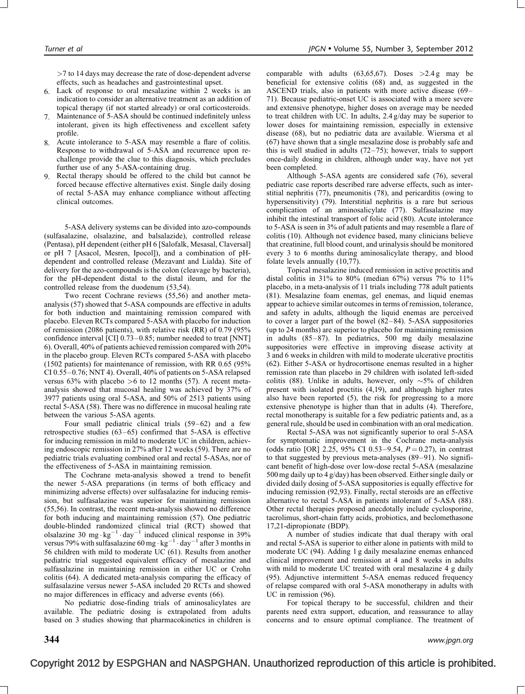>7 to 14 days may decrease the rate of dose-dependent adverse effects, such as headaches and gastrointestinal upset.

- 6. Lack of response to oral mesalazine within 2 weeks is an indication to consider an alternative treatment as an addition of topical therapy (if not started already) or oral corticosteroids.
- 7. Maintenance of 5-ASA should be continued indefinitely unless intolerant, given its high effectiveness and excellent safety profile.
- 8. Acute intolerance to 5-ASA may resemble a flare of colitis. Response to withdrawal of 5-ASA and recurrence upon rechallenge provide the clue to this diagnosis, which precludes further use of any 5-ASA-containing drug.
- 9. Rectal therapy should be offered to the child but cannot be forced because effective alternatives exist. Single daily dosing of rectal 5-ASA may enhance compliance without affecting clinical outcomes.

5-ASA delivery systems can be divided into azo-compounds (sulfasalazine, olsalazine, and balsalazide), controlled release (Pentasa), pH dependent (either pH 6 [Salofalk, Mesasal, Claversal] or pH 7 [Asacol, Mesren, Ipocol]), and a combination of pHdependent and controlled release (Mezavant and Lialda). Site of delivery for the azo-compounds is the colon (cleavage by bacteria), for the pH-dependent distal to the distal ileum, and for the controlled release from the duodenum [\(53,54\)](#page-15-0).

Two recent Cochrane reviews [\(55,56\)](#page-15-0) and another metaanalysis [\(57\)](#page-15-0) showed that 5-ASA compounds are effective in adults for both induction and maintaining remission compared with placebo. Eleven RCTs compared 5-ASA with placebo for induction of remission (2086 patients), with relative risk (RR) of 0.79 (95% confidence interval [CI] 0.73–0.85; number needed to treat [NNT] 6). Overall, 40% of patients achieved remission compared with 20% in the placebo group. Eleven RCTs compared 5-ASA with placebo (1502 patients) for maintenance of remission, with RR 0.65 (95% CI 0.55–0.76; NNT 4). Overall, 40% of patients on 5-ASA relapsed versus  $63\%$  with placebo  $>6$  to 12 months [\(57\).](#page-15-0) A recent metaanalysis showed that mucosal healing was achieved by 37% of 3977 patients using oral 5-ASA, and 50% of 2513 patients using rectal 5-ASA [\(58\).](#page-15-0) There was no difference in mucosal healing rate between the various 5-ASA agents.

Four small pediatric clinical trials [\(59–62\)](#page-16-0) and a few retrospective studies [\(63–65\)](#page-16-0) confirmed that 5-ASA is effective for inducing remission in mild to moderate UC in children, achieving endoscopic remission in 27% after 12 weeks [\(59\)](#page-16-0). There are no pediatric trials evaluating combined oral and rectal 5-ASAs, nor of the effectiveness of 5-ASA in maintaining remission.

The Cochrane meta-analysis showed a trend to benefit the newer 5-ASA preparations (in terms of both efficacy and minimizing adverse effects) over sulfasalazine for inducing remission, but sulfasalazine was superior for maintaining remission [\(55,56\)](#page-15-0). In contrast, the recent meta-analysis showed no difference for both inducing and maintaining remission [\(57\)](#page-15-0). One pediatric double-blinded randomized clinical trial (RCT) showed that olsalazine 30 mg  $kg^{-1}$  day<sup>-1</sup> induced clinical response in 39% versus 79% with sulfasalazine 60 mg  $\, \text{kg}^{-1} \cdot \text{day}^{-1}$  after 3 months in 56 children with mild to moderate UC [\(61\)](#page-16-0). Results from another pediatric trial suggested equivalent efficacy of mesalazine and sulfasalazine in maintaining remission in either UC or Crohn colitis [\(64\)](#page-16-0). A dedicated meta-analysis comparing the efficacy of sulfasalazine versus newer 5-ASA included 20 RCTs and showed no major differences in efficacy and adverse events [\(66\)](#page-16-0).

No pediatric dose-finding trials of aminosalicylates are available. The pediatric dosing is extrapolated from adults based on 3 studies showing that pharmacokinetics in children is

comparable with adults  $(63,65,67)$ . Doses  $>2.4$  g may be beneficial for extensive colitis [\(68\)](#page-16-0) and, as suggested in the ASCEND trials, also in patients with more active disease [\(69–](#page-16-0) [71\)](#page-16-0). Because pediatric-onset UC is associated with a more severe and extensive phenotype, higher doses on average may be needed to treat children with UC. In adults, 2.4 g/day may be superior to lower doses for maintaining remission, especially in extensive disease [\(68\)](#page-16-0), but no pediatric data are available. Wiersma et al [\(67\)](#page-16-0) have shown that a single mesalazine dose is probably safe and this is well studied in adults [\(72–75\)](#page-16-0); however, trials to support once-daily dosing in children, although under way, have not yet been completed.

Although 5-ASA agents are considered safe [\(76\),](#page-16-0) several pediatric case reports described rare adverse effects, such as interstitial nephritis [\(77\)](#page-16-0), pneumonitis [\(78\),](#page-16-0) and pericarditis (owing to hypersensitivity) [\(79\)](#page-16-0). Interstitial nephritis is a rare but serious complication of an aminosalicylate [\(77\)](#page-16-0). Sulfasalazine may inhibit the intestinal transport of folic acid [\(80\)](#page-16-0). Acute intolerance to 5-ASA is seen in 3% of adult patients and may resemble a flare of colitis [\(10\)](#page-14-0). Although not evidence based, many clinicians believe that creatinine, full blood count, and urinalysis should be monitored every 3 to 6 months during aminosalicylate therapy, and blood folate levels annually [\(10,77\)](#page-14-0).

Topical mesalazine induced remission in active proctitis and distal colitis in 31% to 80% (median  $67\%$ ) versus 7% to 11% placebo, in a meta-analysis of 11 trials including 778 adult patients [\(81\)](#page-16-0). Mesalazine foam enemas, gel enemas, and liquid enemas appear to achieve similar outcomes in terms of remission, tolerance, and safety in adults, although the liquid enemas are perceived to cover a larger part of the bowel [\(82–84\).](#page-16-0) 5-ASA suppositories (up to 24 months) are superior to placebo for maintaining remission in adults [\(85–87\)](#page-16-0). In pediatrics, 500 mg daily mesalazine suppositories were effective in improving disease activity at 3 and 6 weeks in children with mild to moderate ulcerative proctitis [\(62\)](#page-16-0). Either 5-ASA or hydrocortisone enemas resulted in a higher remission rate than placebo in 29 children with isolated left-sided colitis [\(88\)](#page-16-0). Unlike in adults, however, only  $\sim$ 5% of children present with isolated proctitis [\(4,19\)](#page-14-0), and although higher rates also have been reported [\(5\)](#page-14-0), the risk for progressing to a more extensive phenotype is higher than that in adults [\(4\).](#page-14-0) Therefore, rectal monotherapy is suitable for a few pediatric patients and, as a general rule, should be used in combination with an oral medication.

Rectal 5-ASA was not significantly superior to oral 5-ASA for symptomatic improvement in the Cochrane meta-analysis (odds ratio [OR] 2.25, 95% CI 0.53-9.54,  $P = 0.27$ ), in contrast to that suggested by previous meta-analyses [\(89–91\)](#page-16-0). No significant benefit of high-dose over low-dose rectal 5-ASA (mesalazine 500 mg daily up to 4 g/day) has been observed. Either single daily or divided daily dosing of 5-ASA suppositories is equally effective for inducing remission [\(92,93\).](#page-16-0) Finally, rectal steroids are an effective alternative to rectal 5-ASA in patients intolerant of 5-ASA [\(88\)](#page-16-0). Other rectal therapies proposed anecdotally include cyclosporine, tacrolimus, short-chain fatty acids, probiotics, and beclomethasone 17,21-dipropionate (BDP).

A number of studies indicate that dual therapy with oral and rectal 5-ASA is superior to either alone in patients with mild to moderate UC [\(94\).](#page-16-0) Adding 1 g daily mesalazine enemas enhanced clinical improvement and remission at 4 and 8 weeks in adults with mild to moderate UC treated with oral mesalazine 4 g daily [\(95\)](#page-16-0). Adjunctive intermittent 5-ASA enemas reduced frequency of relapse compared with oral 5-ASA monotherapy in adults with UC in remission [\(96\).](#page-16-0)

For topical therapy to be successful, children and their parents need extra support, education, and reassurance to allay concerns and to ensure optimal compliance. The treatment of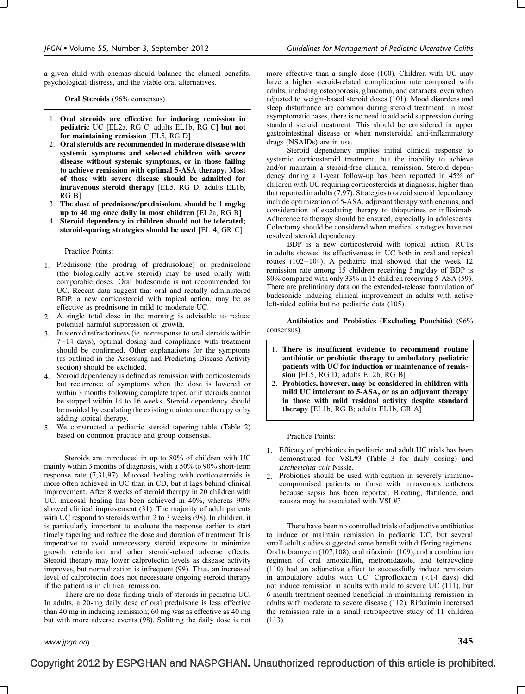a given child with enemas should balance the clinical benefits, psychological distress, and the viable oral alternatives.

Oral Steroids (96% consensus)

- 1. Oral steroids are effective for inducing remission in pediatric UC [EL2a, RG C; adults EL1b, RG C] but not for maintaining remission [EL5, RG D]
- 2. Oral steroids are recommended in moderate disease with systemic symptoms and selected children with severe disease without systemic symptoms, or in those failing to achieve remission with optimal 5-ASA therapy. Most of those with severe disease should be admitted for intravenous steroid therapy [EL5, RG D; adults EL1b, RG B]
- 3. The dose of prednisone/prednisolone should be 1 mg/kg up to 40 mg once daily in most children [EL2a, RG B]
- 4. Steroid dependency in children should not be tolerated;

steroid-sparing strategies should be used [EL 4, GR C]

#### Practice Points:

- 1. Prednisone (the prodrug of prednisolone) or prednisolone (the biologically active steroid) may be used orally with comparable doses. Oral budesonide is not recommended for UC. Recent data suggest that oral and rectally administered BDP, a new corticosteroid with topical action, may be as effective as prednisone in mild to moderate UC.
- 2. A single total dose in the morning is advisable to reduce potential harmful suppression of growth.
- 3. In steroid refractoriness (ie, nonresponse to oral steroids within 7–14 days), optimal dosing and compliance with treatment should be confirmed. Other explanations for the symptoms (as outlined in the Assessing and Predicting Disease Activity section) should be excluded.
- 4. Steroid dependency is defined as remission with corticosteroids but recurrence of symptoms when the dose is lowered or within 3 months following complete taper, or if steroids cannot be stopped within 14 to 16 weeks. Steroid dependency should be avoided by escalating the existing maintenance therapy or by adding topical therapy.
- 5. We constructed a pediatric steroid tapering table [\(Table 2](#page-6-0)) based on common practice and group consensus.

Steroids are introduced in up to 80% of children with UC mainly within 3 months of diagnosis, with a 50% to 90% short-term response rate [\(7,31,97\)](#page-14-0). Mucosal healing with corticosteroids is more often achieved in UC than in CD, but it lags behind clinical improvement. After 8 weeks of steroid therapy in 20 children with UC, mucosal healing has been achieved in 40%, whereas 90% showed clinical improvement [\(31\).](#page-15-0) The majority of adult patients with UC respond to steroids within 2 to 3 weeks [\(98\)](#page-16-0). In children, it is particularly important to evaluate the response earlier to start timely tapering and reduce the dose and duration of treatment. It is imperative to avoid unnecessary steroid exposure to minimize growth retardation and other steroid-related adverse effects. Steroid therapy may lower calprotectin levels as disease activity improves, but normalization is infrequent [\(99\)](#page-16-0). Thus, an increased level of calprotectin does not necessitate ongoing steroid therapy if the patient is in clinical remission.

There are no dose-finding trials of steroids in pediatric UC. In adults, a 20-mg daily dose of oral prednisone is less effective than 40 mg in inducing remission; 60 mg was as effective as 40 mg but with more adverse events [\(98\).](#page-16-0) Splitting the daily dose is not

www.jpgn.org  $345$ 

more effective than a single dose [\(100\)](#page-16-0). Children with UC may have a higher steroid-related complication rate compared with adults, including osteoporosis, glaucoma, and cataracts, even when adjusted to weight-based steroid doses [\(101\)](#page-16-0). Mood disorders and sleep disturbance are common during steroid treatment. In most asymptomatic cases, there is no need to add acid suppression during standard steroid treatment. This should be considered in upper gastrointestinal disease or when nonsteroidal anti-inflammatory drugs (NSAIDs) are in use.

Steroid dependency implies initial clinical response to systemic corticosteroid treatment, but the inability to achieve and/or maintain a steroid-free clinical remission. Steroid dependency during a 1-year follow-up has been reported in 45% of children with UC requiring corticosteroids at diagnosis, higher than that reported in adults [\(7,97\).](#page-14-0) Strategies to avoid steroid dependency include optimization of 5-ASA, adjuvant therapy with enemas, and consideration of escalating therapy to thiopurines or infliximab. Adherence to therapy should be ensured, especially in adolescents. Colectomy should be considered when medical strategies have not resolved steroid dependency.

BDP is a new corticosteroid with topical action. RCTs in adults showed its effectiveness in UC both in oral and topical routes [\(102–104\)](#page-16-0). A pediatric trial showed that the week 12 remission rate among 15 children receiving 5 mg/day of BDP is 80% compared with only 33% in 15 children receiving 5-ASA [\(59\)](#page-16-0). There are preliminary data on the extended-release formulation of budesonide inducing clinical improvement in adults with active left-sided colitis but no pediatric data [\(105\).](#page-17-0)

Antibiotics and Probiotics (Excluding Pouchitis) (96% consensus)

- 1. There is insufficient evidence to recommend routine antibiotic or probiotic therapy to ambulatory pediatric patients with UC for induction or maintenance of remission [EL5, RG D; adults EL2b, RG B]
- 2. Probiotics, however, may be considered in children with mild UC intolerant to 5-ASA, or as an adjuvant therapy in those with mild residual activity despite standard therapy [EL1b, RG B; adults EL1b, GR A]

Practice Points:

- 1. Efficacy of probiotics in pediatric and adult UC trials has been demonstrated for VSL#3 [\(Table 3](#page-6-0) for daily dosing) and Escherichia coli Nissle.
- 2. Probiotics should be used with caution in severely immunocompromised patients or those with intravenous catheters because sepsis has been reported. Bloating, flatulence, and nausea may be associated with VSL#3.

There have been no controlled trials of adjunctive antibiotics to induce or maintain remission in pediatric UC, but several small adult studies suggested some benefit with differing regimens. Oral tobramycin [\(107,108\)](#page-17-0), oral rifaximin [\(109\)](#page-17-0), and a combination regimen of oral amoxicillin, metronidazole, and tetracycline [\(110\)](#page-17-0) had an adjunctive effect to successfully induce remission in ambulatory adults with UC. Ciprofloxacin (<14 days) did not induce remission in adults with mild to severe UC [\(111\),](#page-17-0) but 6-month treatment seemed beneficial in maintaining remission in adults with moderate to severe disease [\(112\)](#page-17-0). Rifaximin increased the remission rate in a small retrospective study of 11 children [\(113\).](#page-17-0)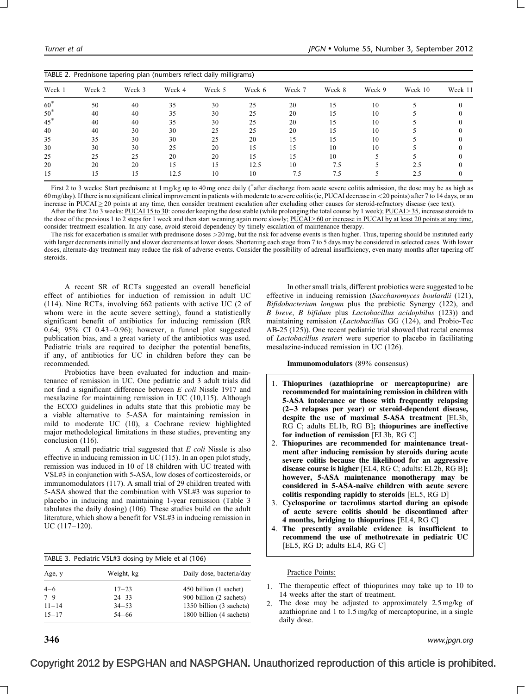<span id="page-6-0"></span>

| TABLE 2. Prednisone tapering plan (numbers reflect daily milligrams) |        |        |        |        |        |        |        |        |         |         |
|----------------------------------------------------------------------|--------|--------|--------|--------|--------|--------|--------|--------|---------|---------|
| Week 1                                                               | Week 2 | Week 3 | Week 4 | Week 5 | Week 6 | Week 7 | Week 8 | Week 9 | Week 10 | Week 11 |
| $60^*$                                                               | 50     | 40     | 35     | 30     | 25     | 20     | 15     | 10     |         |         |
| $50^{\degree}$                                                       | 40     | 40     | 35     | 30     | 25     | 20     | 15     | 10     |         |         |
| $45^*$                                                               | 40     | 40     | 35     | 30     | 25     | 20     | 15     | 10     |         |         |
| 40                                                                   | 40     | 30     | 30     | 25     | 25     | 20     | 15     | 10     |         |         |
| 35                                                                   | 35     | 30     | 30     | 25     | 20     | 15     | 15     | 10     |         |         |
| 30                                                                   | 30     | 30     | 25     | 20     | 15     | 15     | 10     | 10     |         |         |
| 25                                                                   | 25     | 25     | 20     | 20     | 15     | 15     | 10     |        |         |         |
| 20                                                                   | 20     | 20     | 15     | 15     | 12.5   | 10     | 7.5    |        | 2.5     |         |
| 15                                                                   | 15     | 15     | 12.5   | 10     | 10     | 7.5    | 7.5    |        | 2.5     |         |

First 2 to 3 weeks: Start prednisone at 1 mg/kg up to 40 mg once daily (\*after discharge from acute severe colitis admission, the dose may be as high as 60 mg/day). If there is no significant clinical improvement in patients with moderate to severe colitis (ie, PUCAI decrease in  $\lt 20$  points) after 7 to 14 days, or an increase in PUCAI 20 points at any time, then consider treatment escalation after excluding other causes for steroid-refractory disease (see text).

After the first 2 to 3 weeks: PUCAI 15 to 30: consider keeping the dose stable (while prolonging the total course by 1 week); PUCAI > 35, increase steroids to the dose of the previous 1 to 2 steps for 1 week and then start weaning again more slowly; PUCAI > 60 or increase in PUCAI by at least 20 points at any time, consider treatment escalation. In any case, avoid steroid dependency by timely escalation of maintenance therapy.

The risk for exacerbation is smaller with prednisone doses >20 mg, but the risk for adverse events is then higher. Thus, tapering should be instituted early with larger decrements initially and slower decrements at lower doses. Shortening each stage from 7 to 5 days may be considered in selected cases. With lower doses, alternate-day treatment may reduce the risk of adverse events. Consider the possibility of adrenal insufficiency, even many months after tapering off steroids.

A recent SR of RCTs suggested an overall beneficial effect of antibiotics for induction of remission in adult UC [\(114\)](#page-17-0). Nine RCTs, involving 662 patients with active UC (2 of whom were in the acute severe setting), found a statistically significant benefit of antibiotics for inducing remission (RR 0.64; 95% CI 0.43–0.96); however, a funnel plot suggested publication bias, and a great variety of the antibiotics was used. Pediatric trials are required to decipher the potential benefits, if any, of antibiotics for UC in children before they can be recommended.

Probiotics have been evaluated for induction and maintenance of remission in UC. One pediatric and 3 adult trials did not find a significant difference between E coli Nissle 1917 and mesalazine for maintaining remission in UC [\(10,115\)](#page-14-0). Although the ECCO guidelines in adults state that this probiotic may be a viable alternative to 5-ASA for maintaining remission in mild to moderate UC [\(10\),](#page-14-0) a Cochrane review highlighted major methodological limitations in these studies, preventing any conclusion [\(116\)](#page-17-0).

A small pediatric trial suggested that  $E$  coli Nissle is also effective in inducing remission in UC [\(115\).](#page-17-0) In an open pilot study, remission was induced in 10 of 18 children with UC treated with VSL#3 in conjunction with 5-ASA, low doses of corticosteroids, or immunomodulators [\(117\)](#page-17-0). A small trial of 29 children treated with 5-ASA showed that the combination with VSL#3 was superior to placebo in inducing and maintaining 1-year remission (Table 3 tabulates the daily dosing) [\(106\).](#page-17-0) These studies build on the adult literature, which show a benefit for VSL#3 in inducing remission in UC [\(117–120\)](#page-17-0).

| TABLE 3. Pediatric VSL#3 dosing by Miele et al (106) |            |                          |  |
|------------------------------------------------------|------------|--------------------------|--|
| Age, y                                               | Weight, kg | Daily dose, bacteria/day |  |
| $4 - 6$                                              | $17 - 23$  | 450 billion (1 sachet)   |  |
| $7 - 9$                                              | $24 - 33$  | 900 billion (2 sachets)  |  |
| $11 - 14$                                            | $34 - 53$  | 1350 billion (3 sachets) |  |
| $15 - 17$                                            | $54 - 66$  | 1800 billion (4 sachets) |  |

of Lactobacillus reuteri were superior to placebo in facilitating mesalazine-induced remission in UC [\(126\).](#page-17-0) Immunomodulators (89% consensus) 1. Thiopurines (azathioprine or mercaptopurine) are recommended for maintaining remission in children with

5-ASA intolerance or those with frequently relapsing (2–3 relapses per year) or steroid-dependent disease, despite the use of maximal 5-ASA treatment [EL3b, RG C; adults EL1b, RG B]; thiopurines are ineffective for induction of remission [EL3b, RG C]

In other small trials, different probiotics were suggested to be effective in inducing remission (Saccharomyces boulardii [\(121\)](#page-17-0), Bifidobacterium longum plus the prebiotic Synergy [\(122\)](#page-17-0), and B breve, B bifidum plus Lactobacillus acidophilus [\(123\)\)](#page-17-0) and maintaining remission (Lactobacillus GG [\(124\)](#page-17-0), and Probio-Tec AB-25 [\(125\)\)](#page-17-0). One recent pediatric trial showed that rectal enemas

- 2. Thiopurines are recommended for maintenance treatment after inducing remission by steroids during acute severe colitis because the likelihood for an aggressive disease course is higher [EL4, RG C; adults: EL2b, RG B]; however, 5-ASA maintenance monotherapy may be considered in 5-ASA-naïve children with acute severe colitis responding rapidly to steroids [EL5, RG D]
- 3. Cyclosporine or tacrolimus started during an episode of acute severe colitis should be discontinued after 4 months, bridging to thiopurines [EL4, RG C]
- 4. The presently available evidence is insufficient to recommend the use of methotrexate in pediatric UC [EL5, RG D; adults EL4, RG C]

Practice Points:

- 1. The therapeutic effect of thiopurines may take up to 10 to 14 weeks after the start of treatment.
- 2. The dose may be adjusted to approximately 2.5 mg/kg of azathioprine and 1 to 1.5 mg/kg of mercaptopurine, in a single daily dose.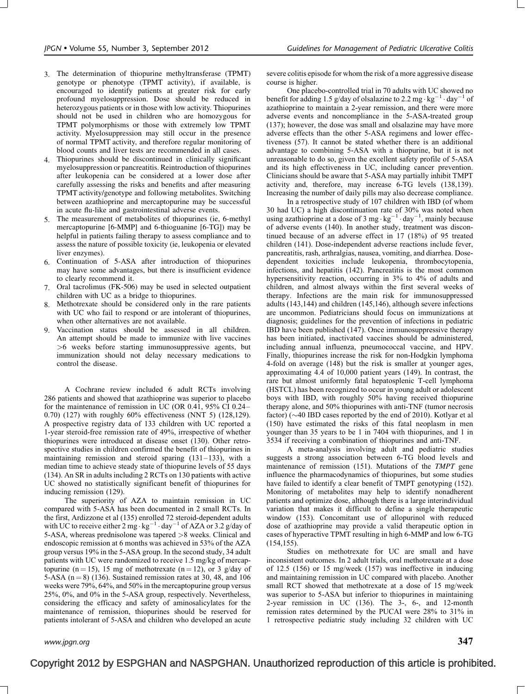- 3. The determination of thiopurine methyltransferase (TPMT) genotype or phenotype (TPMT activity), if available, is encouraged to identify patients at greater risk for early profound myelosuppression. Dose should be reduced in heterozygous patients or in those with low activity. Thiopurines should not be used in children who are homozygous for TPMT polymorphisms or those with extremely low TPMT activity. Myelosuppression may still occur in the presence of normal TPMT activity, and therefore regular monitoring of blood counts and liver tests are recommended in all cases.
- 4. Thiopurines should be discontinued in clinically significant myelosuppression or pancreatitis. Reintroduction of thiopurines after leukopenia can be considered at a lower dose after carefully assessing the risks and benefits and after measuring TPMT activity/genotype and following metabolites. Switching between azathioprine and mercaptopurine may be successful in acute flu-like and gastrointestinal adverse events.
- 5. The measurement of metabolites of thiopurines (ie, 6-methyl mercaptopurine [6-MMP] and 6-thioguanine [6-TG]) may be helpful in patients failing therapy to assess compliance and to assess the nature of possible toxicity (ie, leukopenia or elevated liver enzymes).
- 6. Continuation of 5-ASA after introduction of thiopurines may have some advantages, but there is insufficient evidence to clearly recommend it.
- 7. Oral tacrolimus (FK-506) may be used in selected outpatient children with UC as a bridge to thiopurines.
- 8. Methotrexate should be considered only in the rare patients with UC who fail to respond or are intolerant of thiopurines, when other alternatives are not available.
- 9. Vaccination status should be assessed in all children. An attempt should be made to immunize with live vaccines >6 weeks before starting immunosuppressive agents, but immunization should not delay necessary medications to control the disease.

A Cochrane review included 6 adult RCTs involving 286 patients and showed that azathioprine was superior to placebo for the maintenance of remission in UC (OR 0.41, 95% CI 0.24– 0.70) [\(127\)](#page-17-0) with roughly 60% effectiveness (NNT 5) [\(128,129\).](#page-17-0) A prospective registry data of 133 children with UC reported a 1-year steroid-free remission rate of 49%, irrespective of whether thiopurines were introduced at disease onset [\(130\).](#page-17-0) Other retrospective studies in children confirmed the benefit of thiopurines in maintaining remission and steroid sparing [\(131–133\),](#page-17-0) with a median time to achieve steady state of thiopurine levels of 55 days [\(134\).](#page-17-0) An SR in adults including 2 RCTs on 130 patients with active UC showed no statistically significant benefit of thiopurines for inducing remission [\(129\).](#page-17-0)

The superiority of AZA to maintain remission in UC compared with 5-ASA has been documented in 2 small RCTs. In the first, Ardizzone et al [\(135\)](#page-17-0) enrolled 72 steroid-dependent adults with UC to receive either  $2 \text{ mg} \cdot \text{kg}^{-1} \cdot \text{day}^{-1}$  of AZA or 3.2 g/day of 5-ASA, whereas prednisolone was tapered >8 weeks. Clinical and endoscopic remission at 6 months was achieved in 53% of the AZA group versus 19% in the 5-ASA group. In the second study, 34 adult patients with UC were randomized to receive 1.5 mg/kg of mercaptopurine (n = 15), 15 mg of methotrexate (n = 12), or 3 g/day of 5-ASA  $(n = 8)$  [\(136\)](#page-17-0). Sustained remission rates at 30, 48, and 106 weeks were 79%, 64%, and 50% in the mercaptopurine group versus 25%, 0%, and 0% in the 5-ASA group, respectively. Nevertheless, considering the efficacy and safety of aminosalicylates for the maintenance of remission, thiopurines should be reserved for patients intolerant of 5-ASA and children who developed an acute

severe colitis episode for whom the risk of a more aggressive disease course is higher.

One placebo-controlled trial in 70 adults with UC showed no benefit for adding 1.5 g/day of olsalazine to 2.2 mg  $\cdot$  kg<sup>-1</sup>  $\cdot$  day<sup>-1</sup> of azathioprine to maintain a 2-year remission, and there were more adverse events and noncompliance in the 5-ASA-treated group [\(137\);](#page-17-0) however, the dose was small and olsalazine may have more adverse effects than the other 5-ASA regimens and lower effectiveness [\(57\)](#page-15-0). It cannot be stated whether there is an additional advantage to combining 5-ASA with a thiopurine, but it is not unreasonable to do so, given the excellent safety profile of 5-ASA and its high effectiveness in UC, including cancer prevention. Clinicians should be aware that 5-ASA may partially inhibit TMPT activity and, therefore, may increase 6-TG levels [\(138,139\)](#page-17-0). Increasing the number of daily pills may also decrease compliance.

In a retrospective study of 107 children with IBD (of whom 30 had UC) a high discontinuation rate of 30% was noted when using azathioprine at a dose of 3 mg  $\cdot$  kg<sup>-1</sup> $\cdot$  day<sup>-1</sup>, mainly because of adverse events [\(140\)](#page-17-0). In another study, treatment was discontinued because of an adverse effect in 17 (18%) of 95 treated children [\(141\)](#page-17-0). Dose-independent adverse reactions include fever, pancreatitis, rash, arthralgias, nausea, vomiting, and diarrhea. Dosedependent toxicities include leukopenia, thrombocytopenia, infections, and hepatitis [\(142\)](#page-17-0). Pancreatitis is the most common hypersensitivity reaction, occurring in 3% to 4% of adults and children, and almost always within the first several weeks of therapy. Infections are the main risk for immunosuppressed adults [\(143,144\)](#page-17-0) and children [\(145,146\)](#page-17-0), although severe infections are uncommon. Pediatricians should focus on immunizations at diagnosis; guidelines for the prevention of infections in pediatric IBD have been published [\(147\)](#page-18-0). Once immunosuppressive therapy has been initiated, inactivated vaccines should be administered, including annual influenza, pneumococcal vaccine, and HPV. Finally, thiopurines increase the risk for non-Hodgkin lymphoma 4-fold on average [\(148\)](#page-18-0) but the risk is smaller at younger ages, approximating 4.4 of 10,000 patient years [\(149\).](#page-18-0) In contrast, the rare but almost uniformly fatal hepatosplenic T-cell lymphoma (HSTCL) has been recognized to occur in young adult or adolescent boys with IBD, with roughly 50% having received thiopurine therapy alone, and 50% thiopurines with anti-TNF (tumor necrosis factor) ( $\sim$ 40 IBD cases reported by the end of 2010). Kotlyar et al [\(150\)](#page-18-0) have estimated the risks of this fatal neoplasm in men younger than 35 years to be 1 in 7404 with thiopurines, and 1 in 3534 if receiving a combination of thiopurines and anti-TNF.

A meta-analysis involving adult and pediatric studies suggests a strong association between 6-TG blood levels and maintenance of remission [\(151\).](#page-18-0) Mutations of the *TMPT* gene influence the pharmacodynamics of thiopurines, but some studies have failed to identify a clear benefit of TMPT genotyping [\(152\)](#page-18-0). Monitoring of metabolites may help to identify nonadherent patients and optimize dose, although there is a large interindividual variation that makes it difficult to define a single therapeutic window [\(153\).](#page-18-0) Concomitant use of allopurinol with reduced dose of azathioprine may provide a valid therapeutic option in cases of hyperactive TPMT resulting in high 6-MMP and low 6-TG  $(154, 155)$ .

Studies on methotrexate for UC are small and have inconsistent outcomes. In 2 adult trials, oral methotrexate at a dose of 12.5 [\(156\)](#page-18-0) or 15 mg/week [\(157\)](#page-18-0) was ineffective in inducing and maintaining remission in UC compared with placebo. Another small RCT showed that methotrexate at a dose of 15 mg/week was superior to 5-ASA but inferior to thiopurines in maintaining 2-year remission in UC [\(136\)](#page-17-0). The 3-, 6-, and 12-month remission rates determined by the PUCAI were 28% to 31% in 1 retrospective pediatric study including 32 children with UC

www.jpgn.org  $347$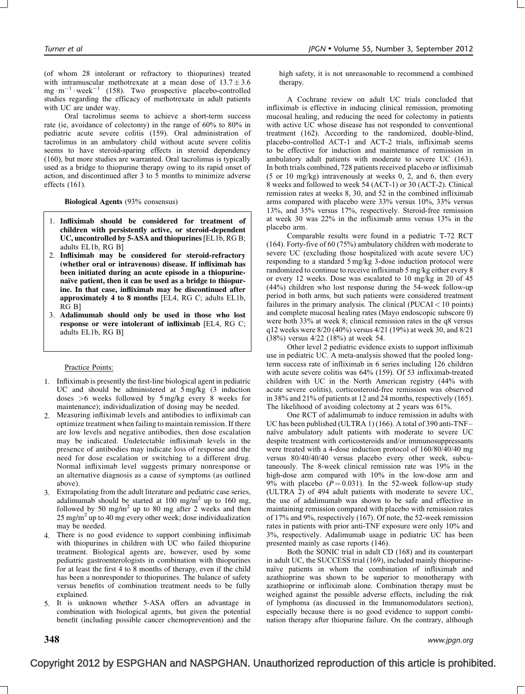(of whom 28 intolerant or refractory to thiopurines) treated with intramuscular methotrexate at a mean dose of  $13.7 \pm 3.6$  $mg \cdot m^{-1} \cdot week^{-1}$  [\(158\).](#page-18-0) Two prospective placebo-controlled studies regarding the efficacy of methotrexate in adult patients with UC are under way.

Oral tacrolimus seems to achieve a short-term success rate (ie, avoidance of colectomy) in the range of 60% to 80% in pediatric acute severe colitis [\(159\).](#page-18-0) Oral administration of tacrolimus in an ambulatory child without acute severe colitis seems to have steroid-sparing effects in steroid dependency [\(160\),](#page-18-0) but more studies are warranted. Oral tacrolimus is typically used as a bridge to thiopurine therapy owing to its rapid onset of action, and discontinued after 3 to 5 months to minimize adverse effects [\(161\).](#page-18-0)

Biological Agents (93% consensus)

- 1. Infliximab should be considered for treatment of children with persistently active, or steroid-dependent UC, uncontrolled by 5-ASA and thiopurines [EL1b, RG B; adults EL1b, RG B]
- 2. Infliximab may be considered for steroid-refractory (whether oral or intravenous) disease. If infliximab has been initiated during an acute episode in a thiopurinenaïve patient, then it can be used as a bridge to thiopurine. In that case, infliximab may be discontinued after approximately 4 to 8 months [EL4, RG C; adults EL1b, RG B]
- 3. Adalimumab should only be used in those who lost response or were intolerant of infliximab [EL4, RG C; adults EL1b, RG B]

#### Practice Points:

- 1. Infliximab is presently the first-line biological agent in pediatric UC and should be administered at  $5 \text{ mg/kg}$  (3 induction doses >6 weeks followed by 5 mg/kg every 8 weeks for maintenance); individualization of dosing may be needed.
- 2. Measuring infliximab levels and antibodies to infliximab can optimize treatment when failing to maintain remission. If there are low levels and negative antibodies, then dose escalation may be indicated. Undetectable infliximab levels in the presence of antibodies may indicate loss of response and the need for dose escalation or switching to a different drug. Normal infliximab level suggests primary nonresponse or an alternative diagnosis as a cause of symptoms (as outlined above).
- 3. Extrapolating from the adult literature and pediatric case series, adalimumab should be started at 100 mg/m<sup>2</sup> up to 160 mg, followed by 50 mg/m<sup>2</sup> up to 80 mg after 2 weeks and then  $25 \text{ mg/m}^2$  up to 40 mg every other week; dose individualization may be needed.
- There is no good evidence to support combining infliximab with thiopurines in children with UC who failed thiopurine treatment. Biological agents are, however, used by some pediatric gastroenterologists in combination with thiopurines for at least the first 4 to 8 months of therapy, even if the child has been a nonresponder to thiopurines. The balance of safety versus benefits of combination treatment needs to be fully explained.
- 5. It is unknown whether 5-ASA offers an advantage in combination with biological agents, but given the potential benefit (including possible cancer chemoprevention) and the

high safety, it is not unreasonable to recommend a combined therapy.

A Cochrane review on adult UC trials concluded that infliximab is effective in inducing clinical remission, promoting mucosal healing, and reducing the need for colectomy in patients with active UC whose disease has not responded to conventional treatment [\(162\)](#page-18-0). According to the randomized, double-blind, placebo-controlled ACT-1 and ACT-2 trials, infliximab seems to be effective for induction and maintenance of remission in ambulatory adult patients with moderate to severe UC [\(163\)](#page-18-0). In both trials combined, 728 patients received placebo or infliximab (5 or 10 mg/kg) intravenously at weeks 0, 2, and 6, then every 8 weeks and followed to week 54 (ACT-1) or 30 (ACT-2). Clinical remission rates at weeks 8, 30, and 52 in the combined infliximab arms compared with placebo were 33% versus 10%, 33% versus 13%, and 35% versus 17%, respectively. Steroid-free remission at week 30 was 22% in the infliximab arms versus 13% in the placebo arm.

Comparable results were found in a pediatric T-72 RCT [\(164\).](#page-18-0) Forty-five of 60 (75%) ambulatory children with moderate to severe UC (excluding those hospitalized with acute severe UC) responding to a standard 5 mg/kg 3-dose induction protocol were randomized to continue to receive infliximab 5 mg/kg either every 8 or every 12 weeks. Dose was escalated to 10 mg/kg in 20 of 45 (44%) children who lost response during the 54-week follow-up period in both arms, but such patients were considered treatment failures in the primary analysis. The clinical  $(PUCAI < 10 \text{ points})$ and complete mucosal healing rates (Mayo endoscopic subscore 0) were both 33% at week 8; clinical remission rates in the q8 versus q12 weeks were 8/20 (40%) versus 4/21 (19%) at week 30, and 8/21 (38%) versus 4/22 (18%) at week 54.

Other level 2 pediatric evidence exists to support infliximab use in pediatric UC. A meta-analysis showed that the pooled longterm success rate of infliximab in 6 series including 126 children with acute severe colitis was 64% [\(159\)](#page-18-0). Of 53 infliximab-treated children with UC in the North American registry (44% with acute severe colitis), corticosteroid-free remission was observed in 38% and 21% of patients at 12 and 24 months, respectively [\(165\)](#page-18-0). The likelihood of avoiding colectomy at 2 years was 61%.

One RCT of adalimumab to induce remission in adults with UC has been published (ULTRA 1) [\(166\)](#page-18-0). A total of 390 anti-TNF– naïve ambulatory adult patients with moderate to severe UC despite treatment with corticosteroids and/or immunosuppressants were treated with a 4-dose induction protocol of 160/80/40/40 mg versus 80/40/40/40 versus placebo every other week, subcutaneously. The 8-week clinical remission rate was 19% in the high-dose arm compared with  $10\%$  in the low-dose arm and 9% with placebo  $(P = 0.031)$ . In the 52-week follow-up study (ULTRA 2) of 494 adult patients with moderate to severe UC, the use of adalimumab was shown to be safe and effective in maintaining remission compared with placebo with remission rates of 17% and 9%, respectively [\(167\).](#page-18-0) Of note, the 52-week remission rates in patients with prior anti-TNF exposure were only 10% and 3%, respectively. Adalimumab usage in pediatric UC has been presented mainly as case reports [\(146\)](#page-18-0).

Both the SONIC trial in adult CD [\(168\)](#page-18-0) and its counterpart in adult UC, the SUCCESS trial [\(169\),](#page-18-0) included mainly thiopurinenaïve patients in whom the combination of infliximab and azathioprine was shown to be superior to monotherapy with azathioprine or infliximab alone. Combination therapy must be weighed against the possible adverse effects, including the risk of lymphoma (as discussed in the Immunomodulators section), especially because there is no good evidence to support combination therapy after thiopurine failure. On the contrary, although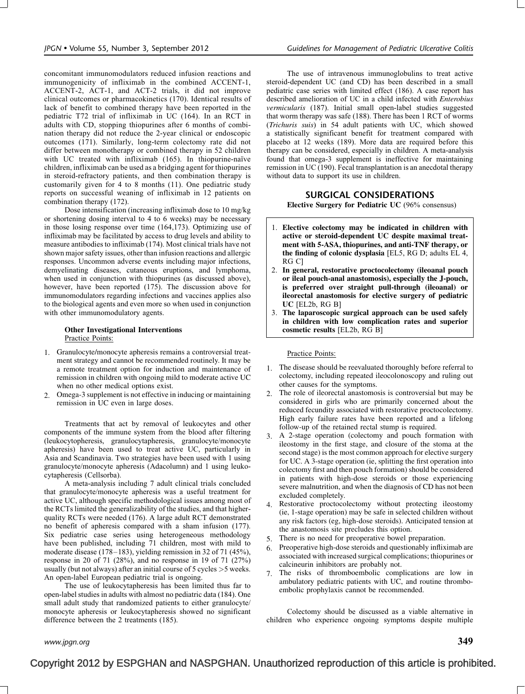concomitant immunomodulators reduced infusion reactions and immunogenicity of infliximab in the combined ACCENT-1, ACCENT-2, ACT-1, and ACT-2 trials, it did not improve clinical outcomes or pharmacokinetics [\(170\)](#page-18-0). Identical results of lack of benefit to combined therapy have been reported in the pediatric T72 trial of infliximab in UC [\(164\).](#page-18-0) In an RCT in adults with CD, stopping thiopurines after 6 months of combination therapy did not reduce the 2-year clinical or endoscopic outcomes [\(171\)](#page-18-0). Similarly, long-term colectomy rate did not differ between monotherapy or combined therapy in 52 children with UC treated with infliximab [\(165\)](#page-18-0). In thiopurine-naïve children, infliximab can be used as a bridging agent for thiopurines in steroid-refractory patients, and then combination therapy is customarily given for 4 to 8 months [\(11\).](#page-14-0) One pediatric study reports on successful weaning of infliximab in 12 patients on combination therapy [\(172\).](#page-18-0)

Dose intensification (increasing infliximab dose to 10 mg/kg or shortening dosing interval to 4 to 6 weeks) may be necessary in those losing response over time [\(164,173\).](#page-18-0) Optimizing use of infliximab may be facilitated by access to drug levels and ability to measure antibodies to infliximab [\(174\)](#page-18-0). Most clinical trials have not shown major safety issues, other than infusion reactions and allergic responses. Uncommon adverse events including major infections, demyelinating diseases, cutaneous eruptions, and lymphoma, when used in conjunction with thiopurines (as discussed above), however, have been reported [\(175\)](#page-18-0). The discussion above for immunomodulators regarding infections and vaccines applies also to the biological agents and even more so when used in conjunction with other immunomodulatory agents.

#### Other Investigational Interventions Practice Points:

- 1. Granulocyte/monocyte apheresis remains a controversial treatment strategy and cannot be recommended routinely. It may be a remote treatment option for induction and maintenance of remission in children with ongoing mild to moderate active UC when no other medical options exist.
- 2. Omega-3 supplement is not effective in inducing or maintaining remission in UC even in large doses.

Treatments that act by removal of leukocytes and other components of the immune system from the blood after filtering (leukocytopheresis, granulocytapheresis, granulocyte/monocyte apheresis) have been used to treat active UC, particularly in Asia and Scandinavia. Two strategies have been used with 1 using granulocyte/monocyte apheresis (Adacolumn) and 1 using leukocytapheresis (Cellsorba).

A meta-analysis including 7 adult clinical trials concluded that granulocyte/monocyte apheresis was a useful treatment for active UC, although specific methodological issues among most of the RCTs limited the generalizability of the studies, and that higherquality RCTs were needed [\(176\)](#page-18-0). A large adult RCT demonstrated no benefit of apheresis compared with a sham infusion [\(177\).](#page-18-0) Six pediatric case series using heterogeneous methodology have been published, including 71 children, most with mild to moderate disease [\(178–183\),](#page-18-0) yielding remission in 32 of 71 (45%), response in 20 of 71 (28%), and no response in 19 of 71 (27%) usually (but not always) after an initial course of 5 cycles >5 weeks. An open-label European pediatric trial is ongoing.

The use of leukocytapheresis has been limited thus far to open-label studies in adults with almost no pediatric data [\(184\)](#page-18-0). One small adult study that randomized patients to either granulocyte/ monocyte apheresis or leukocytapheresis showed no significant difference between the 2 treatments [\(185\)](#page-18-0).

The use of intravenous immunoglobulins to treat active steroid-dependent UC (and CD) has been described in a small pediatric case series with limited effect [\(186\)](#page-18-0). A case report has described amelioration of UC in a child infected with Enterobius vermicularis [\(187\)](#page-18-0). Initial small open-label studies suggested that worm therapy was safe [\(188\)](#page-18-0). There has been 1 RCT of worms (Trichuris suis) in 54 adult patients with UC, which showed a statistically significant benefit for treatment compared with placebo at 12 weeks [\(189\).](#page-18-0) More data are required before this therapy can be considered, especially in children. A meta-analysis found that omega-3 supplement is ineffective for maintaining remission in UC [\(190\).](#page-19-0) Fecal transplantation is an anecdotal therapy without data to support its use in children.

#### SURGICAL CONSIDERATIONS

Elective Surgery for Pediatric UC (96% consensus)

- 1. Elective colectomy may be indicated in children with active or steroid-dependent UC despite maximal treatment with 5-ASA, thiopurines, and anti-TNF therapy, or the finding of colonic dysplasia [EL5, RG D; adults EL 4, RG C]
- 2. In general, restorative proctocolectomy (ileoanal pouch or ileal pouch-anal anastomosis), especially the J-pouch, is preferred over straight pull-through (ileoanal) or ileorectal anastomosis for elective surgery of pediatric UC [EL2b, RG B]
- 3. The laparoscopic surgical approach can be used safely in children with low complication rates and superior cosmetic results [EL2b, RG B]

#### Practice Points:

- 1. The disease should be reevaluated thoroughly before referral to colectomy, including repeated ileocolonoscopy and ruling out other causes for the symptoms.
- 2. The role of ileorectal anastomosis is controversial but may be considered in girls who are primarily concerned about the reduced fecundity associated with restorative proctocolectomy. High early failure rates have been reported and a lifelong follow-up of the retained rectal stump is required.
- 3. A 2-stage operation (colectomy and pouch formation with ileostomy in the first stage, and closure of the stoma at the second stage) is the most common approach for elective surgery for UC. A 3-stage operation (ie, splitting the first operation into colectomy first and then pouch formation) should be considered in patients with high-dose steroids or those experiencing severe malnutrition, and when the diagnosis of CD has not been excluded completely.
- 4. Restorative proctocolectomy without protecting ileostomy (ie, 1-stage operation) may be safe in selected children without any risk factors (eg, high-dose steroids). Anticipated tension at the anastomosis site precludes this option.
- 5. There is no need for preoperative bowel preparation.
- 6. Preoperative high-dose steroids and questionably infliximab are associated with increased surgical complications; thiopurines or calcineurin inhibitors are probably not.
- 7. The risks of thromboembolic complications are low in ambulatory pediatric patients with UC, and routine thromboembolic prophylaxis cannot be recommended.

Colectomy should be discussed as a viable alternative in children who experience ongoing symptoms despite multiple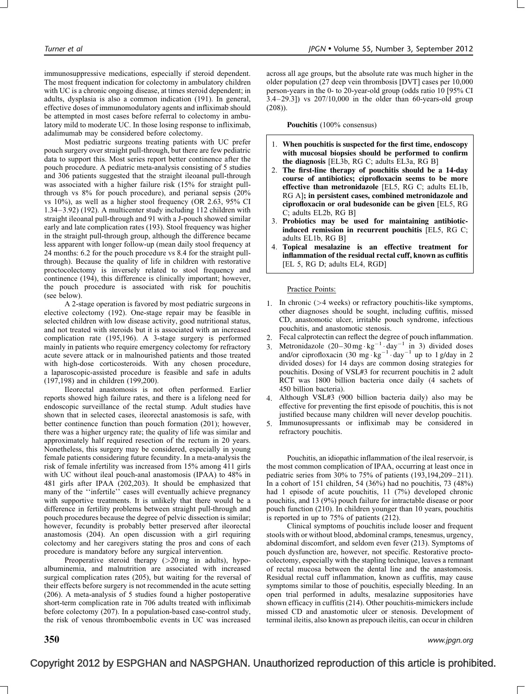immunosuppressive medications, especially if steroid dependent. The most frequent indication for colectomy in ambulatory children with UC is a chronic ongoing disease, at times steroid dependent; in adults, dysplasia is also a common indication [\(191\)](#page-19-0). In general, effective doses of immunomodulatory agents and infliximab should be attempted in most cases before referral to colectomy in ambulatory mild to moderate UC. In those losing response to infliximab, adalimumab may be considered before colectomy.

Most pediatric surgeons treating patients with UC prefer pouch surgery over straight pull-through, but there are few pediatric data to support this. Most series report better continence after the pouch procedure. A pediatric meta-analysis consisting of 5 studies and 306 patients suggested that the straight ileoanal pull-through was associated with a higher failure risk (15% for straight pullthrough vs 8% for pouch procedure), and perianal sepsis (20% vs 10%), as well as a higher stool frequency (OR 2.63, 95% CI 1.34–3.92) [\(192\)](#page-19-0). A multicenter study including 112 children with straight ileoanal pull-through and 91 with a J-pouch showed similar early and late complication rates [\(193\)](#page-19-0). Stool frequency was higher in the straight pull-through group, although the difference became less apparent with longer follow-up (mean daily stool frequency at 24 months: 6.2 for the pouch procedure vs 8.4 for the straight pullthrough). Because the quality of life in children with restorative proctocolectomy is inversely related to stool frequency and continence [\(194\),](#page-19-0) this difference is clinically important; however, the pouch procedure is associated with risk for pouchitis (see below).

A 2-stage operation is favored by most pediatric surgeons in elective colectomy [\(192\).](#page-19-0) One-stage repair may be feasible in selected children with low disease activity, good nutritional status, and not treated with steroids but it is associated with an increased complication rate [\(195,196\)](#page-19-0). A 3-stage surgery is performed mainly in patients who require emergency colectomy for refractory acute severe attack or in malnourished patients and those treated with high-dose corticosteroids. With any chosen procedure, a laparoscopic-assisted procedure is feasible and safe in adults [\(197,198\)](#page-19-0) and in children [\(199,200\).](#page-19-0)

Ileorectal anastomosis is not often performed. Earlier reports showed high failure rates, and there is a lifelong need for endoscopic surveillance of the rectal stump. Adult studies have shown that in selected cases, ileorectal anastomosis is safe, with better continence function than pouch formation [\(201\)](#page-19-0); however, there was a higher urgency rate; the quality of life was similar and approximately half required resection of the rectum in 20 years. Nonetheless, this surgery may be considered, especially in young female patients considering future fecundity. In a meta-analysis the risk of female infertility was increased from 15% among 411 girls with UC without ileal pouch-anal anastomosis (IPAA) to 48% in 481 girls after IPAA [\(202,203\)](#page-19-0). It should be emphasized that many of the ''infertile'' cases will eventually achieve pregnancy with supportive treatments. It is unlikely that there would be a difference in fertility problems between straight pull-through and pouch procedures because the degree of pelvic dissection is similar; however, fecundity is probably better preserved after ileorectal anastomosis [\(204\).](#page-19-0) An open discussion with a girl requiring colectomy and her caregivers stating the pros and cons of each procedure is mandatory before any surgical intervention.

Preoperative steroid therapy  $(>20$  mg in adults), hypoalbuminemia, and malnutrition are associated with increased surgical complication rates [\(205\)](#page-19-0), but waiting for the reversal of their effects before surgery is not recommended in the acute setting [\(206\).](#page-19-0) A meta-analysis of 5 studies found a higher postoperative short-term complication rate in 706 adults treated with infliximab before colectomy [\(207\).](#page-19-0) In a population-based case-control study, the risk of venous thromboembolic events in UC was increased

across all age groups, but the absolute rate was much higher in the older population (27 deep vein thrombosis [DVT] cases per 10,000 person-years in the 0- to 20-year-old group (odds ratio 10 [95% CI 3.4–29.3]) vs 207/10,000 in the older than 60-years-old group [\(208\)\)](#page-19-0).

Pouchitis (100% consensus)

- 1. When pouchitis is suspected for the first time, endoscopy with mucosal biopsies should be performed to confirm the diagnosis [EL3b, RG C; adults EL3a, RG B]
- 2. The first-line therapy of pouchitis should be a 14-day course of antibiotics; ciprofloxacin seems to be more effective than metronidazole [EL5, RG C; adults EL1b, RG A]; in persistent cases, combined metronidazole and ciprofloxacin or oral budesonide can be given [EL5, RG C; adults EL2b, RG B]
- 3. Probiotics may be used for maintaining antibioticinduced remission in recurrent pouchitis [EL5, RG C; adults EL1b, RG B]
- 4. Topical mesalazine is an effective treatment for inflammation of the residual rectal cuff, known as cuffitis [EL 5, RG D; adults EL4, RGD]

Practice Points:

- 1. In chronic (>4 weeks) or refractory pouchitis-like symptoms, other diagnoses should be sought, including cuffitis, missed CD, anastomotic ulcer, irritable pouch syndrome, infectious pouchitis, and anastomotic stenosis.
- 2. Fecal calprotectin can reflect the degree of pouch inflammation.
- 3. Metronidazole  $(20-30 \text{ mg} \cdot \text{kg}^{-1} \cdot \text{day}^{-1}$  in 3) divided doses and/or ciprofloxacin (30 mg  $kg^{-1}$  day<sup>-1</sup> up to 1 g/day in 2 divided doses) for 14 days are common dosing strategies for pouchitis. Dosing of VSL#3 for recurrent pouchitis in 2 adult RCT was 1800 billion bacteria once daily (4 sachets of 450 billion bacteria).
- 4. Although VSL#3 (900 billion bacteria daily) also may be effective for preventing the first episode of pouchitis, this is not justified because many children will never develop pouchitis.
- 5. Immunosupressants or infliximab may be considered in refractory pouchitis.

Pouchitis, an idiopathic inflammation of the ileal reservoir, is the most common complication of IPAA, occurring at least once in pediatric series from 30% to 75% of patients [\(193,194,209–211\)](#page-19-0). In a cohort of 151 children, 54 (36%) had no pouchitis, 73 (48%) had 1 episode of acute pouchitis, 11 (7%) developed chronic pouchitis, and 13 (9%) pouch failure for intractable disease or poor pouch function [\(210\).](#page-19-0) In children younger than 10 years, pouchitis is reported in up to 75% of patients [\(212\).](#page-19-0)

Clinical symptoms of pouchitis include looser and frequent stools with or without blood, abdominal cramps, tenesmus, urgency, abdominal discomfort, and seldom even fever [\(213\)](#page-19-0). Symptoms of pouch dysfunction are, however, not specific. Restorative proctocolectomy, especially with the stapling technique, leaves a remnant of rectal mucosa between the dental line and the anastomosis. Residual rectal cuff inflammation, known as cuffitis, may cause symptoms similar to those of pouchitis, especially bleeding. In an open trial performed in adults, mesalazine suppositories have shown efficacy in cuffitis [\(214\).](#page-19-0) Other pouchitis-mimickers include missed CD and anastomotic ulcer or stenosis. Development of terminal ileitis, also known as prepouch ileitis, can occur in children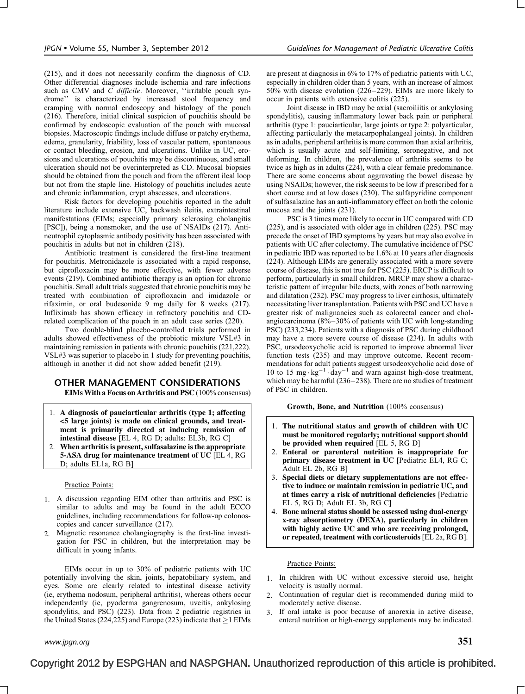[\(215\),](#page-19-0) and it does not necessarily confirm the diagnosis of CD. Other differential diagnoses include ischemia and rare infections such as CMV and  $\overline{C}$  difficile. Moreover, "irritable pouch syndrome'' is characterized by increased stool frequency and cramping with normal endoscopy and histology of the pouch [\(216\).](#page-19-0) Therefore, initial clinical suspicion of pouchitis should be confirmed by endoscopic evaluation of the pouch with mucosal biopsies. Macroscopic findings include diffuse or patchy erythema, edema, granularity, friability, loss of vascular pattern, spontaneous or contact bleeding, erosion, and ulcerations. Unlike in UC, erosions and ulcerations of pouchitis may be discontinuous, and small ulceration should not be overinterpreted as CD. Mucosal biopsies should be obtained from the pouch and from the afferent ileal loop but not from the staple line. Histology of pouchitis includes acute and chronic inflammation, crypt abscesses, and ulcerations.

Risk factors for developing pouchitis reported in the adult literature include extensive UC, backwash ileitis, extraintestinal manifestations (EIMs; especially primary sclerosing cholangitis [PSC]), being a nonsmoker, and the use of NSAIDs [\(217\).](#page-19-0) Antineutrophil cytoplasmic antibody positivity has been associated with pouchitis in adults but not in children [\(218\)](#page-19-0).

Antibiotic treatment is considered the first-line treatment for pouchitis. Metronidazole is associated with a rapid response, but ciprofloxacin may be more effective, with fewer adverse events [\(219\)](#page-19-0). Combined antibiotic therapy is an option for chronic pouchitis. Small adult trials suggested that chronic pouchitis may be treated with combination of ciprofloxacin and imidazole or rifaximin, or oral budesonide 9 mg daily for 8 weeks [\(217\).](#page-19-0) Infliximab has shown efficacy in refractory pouchitis and CDrelated complication of the pouch in an adult case series [\(220\).](#page-19-0)

Two double-blind placebo-controlled trials performed in adults showed effectiveness of the probiotic mixture VSL#3 in maintaining remission in patients with chronic pouchitis [\(221,222\).](#page-19-0) VSL#3 was superior to placebo in 1 study for preventing pouchitis, although in another it did not show added benefit [\(219\)](#page-19-0).

#### OTHER MANAGEMENT CONSIDERATIONS EIMsWith a Focus on Arthritis and PSC (100% consensus)

- 1. A diagnosis of pauciarticular arthritis (type 1; affecting <5 large joints) is made on clinical grounds, and treatment is primarily directed at inducing remission of intestinal disease [EL 4, RG D; adults: EL3b, RG C]
- 2. When arthritis is present, sulfasalazine is the appropriate 5-ASA drug for maintenance treatment of UC [EL 4, RG D; adults EL1a, RG B]

#### Practice Points:

- 1. A discussion regarding EIM other than arthritis and PSC is similar to adults and may be found in the adult ECCO guidelines, including recommendations for follow-up colonoscopies and cancer surveillance [\(217\)](#page-19-0).
- 2. Magnetic resonance cholangiography is the first-line investigation for PSC in children, but the interpretation may be difficult in young infants.

EIMs occur in up to 30% of pediatric patients with UC potentially involving the skin, joints, hepatobiliary system, and eyes. Some are clearly related to intestinal disease activity (ie, erythema nodosum, peripheral arthritis), whereas others occur independently (ie, pyoderma gangrenosum, uveitis, ankylosing spondylitis, and PSC) [\(223\).](#page-19-0) Data from 2 pediatric registries in the United States [\(224,225\)](#page-19-0) and Europe [\(223\)](#page-19-0) indicate that  $\geq$  1 EIMs

www.jpgn.org  $351$ 

are present at diagnosis in 6% to 17% of pediatric patients with UC, especially in children older than 5 years, with an increase of almost 50% with disease evolution [\(226–229\)](#page-19-0). EIMs are more likely to occur in patients with extensive colitis [\(225\).](#page-19-0)

Joint disease in IBD may be axial (sacroiliitis or ankylosing spondylitis), causing inflammatory lower back pain or peripheral arthritis (type 1: pauciarticular, large joints or type 2: polyarticular, affecting particularly the metacarpophalangeal joints). In children as in adults, peripheral arthritis is more common than axial arthritis, which is usually acute and self-limiting, seronegative, and not deforming. In children, the prevalence of arthritis seems to be twice as high as in adults [\(224\)](#page-19-0), with a clear female predominance. There are some concerns about aggravating the bowel disease by using NSAIDs; however, the risk seems to be low if prescribed for a short course and at low doses [\(230\).](#page-19-0) The sulfapyridine component of sulfasalazine has an anti-inflammatory effect on both the colonic mucosa and the joints [\(231\)](#page-19-0).

PSC is 3 times more likely to occur in UC compared with CD [\(225\),](#page-19-0) and is associated with older age in children [\(225\).](#page-19-0) PSC may precede the onset of IBD symptoms by years but may also evolve in patients with UC after colectomy. The cumulative incidence of PSC in pediatric IBD was reported to be 1.6% at 10 years after diagnosis [\(224\).](#page-19-0) Although EIMs are generally associated with a more severe course of disease, this is not true for PSC [\(225\)](#page-19-0). ERCP is difficult to perform, particularly in small children. MRCP may show a characteristic pattern of irregular bile ducts, with zones of both narrowing and dilatation [\(232\).](#page-19-0) PSC may progress to liver cirrhosis, ultimately necessitating liver transplantation. Patients with PSC and UC have a greater risk of malignancies such as colorectal cancer and cholangiocarcinoma (8%–30% of patients with UC with long-standing PSC) [\(233,234\).](#page-19-0) Patients with a diagnosis of PSC during childhood may have a more severe course of disease [\(234\).](#page-19-0) In adults with PSC, ursodeoxycholic acid is reported to improve abnormal liver function tests [\(235\)](#page-19-0) and may improve outcome. Recent recommendations for adult patients suggest ursodeoxycholic acid dose of 10 to 15 mg  $kg^{-1}$  day<sup>-1</sup> and warn against high-dose treatment, which may be harmful [\(236–238\).](#page-19-0) There are no studies of treatment of PSC in children.

#### Growth, Bone, and Nutrition (100% consensus)

- 1. The nutritional status and growth of children with UC must be monitored regularly; nutritional support should be provided when required [EL 5, RG D]
- 2. Enteral or parenteral nutrition is inappropriate for primary disease treatment in UC [Pediatric EL4, RG C; Adult EL 2b, RG B]
- 3. Special diets or dietary supplementations are not effective to induce or maintain remission in pediatric UC, and at times carry a risk of nutritional deficiencies [Pediatric EL 5, RG D; Adult EL 3b, RG C]
- 4. Bone mineral status should be assessed using dual-energy x-ray absorptiometry (DEXA), particularly in children with highly active UC and who are receiving prolonged, or repeated, treatment with corticosteroids [EL 2a, RG B].

#### Practice Points:

- 1. In children with UC without excessive steroid use, height velocity is usually normal.
- 2. Continuation of regular diet is recommended during mild to moderately active disease.
- 3. If oral intake is poor because of anorexia in active disease, enteral nutrition or high-energy supplements may be indicated.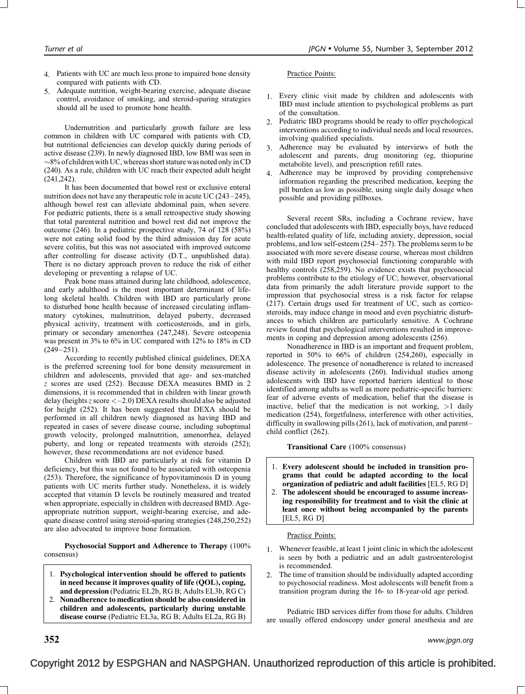- 4. Patients with UC are much less prone to impaired bone density compared with patients with CD.
- 5. Adequate nutrition, weight-bearing exercise, adequate disease control, avoidance of smoking, and steroid-sparing strategies should all be used to promote bone health.

Undernutrition and particularly growth failure are less common in children with UC compared with patients with CD, but nutritional deficiencies can develop quickly during periods of active disease [\(239\)](#page-20-0). In newly diagnosed IBD, low BMI was seen in  $\sim$ 8% of children with UC, whereas short stature was noted only in CD [\(240\)](#page-20-0). As a rule, children with UC reach their expected adult height [\(241,242\)](#page-20-0).

It has been documented that bowel rest or exclusive enteral nutrition does not have any therapeutic role in acute UC [\(243–245\),](#page-20-0) although bowel rest can alleviate abdominal pain, when severe. For pediatric patients, there is a small retrospective study showing that total parenteral nutrition and bowel rest did not improve the outcome [\(246\).](#page-20-0) In a pediatric prospective study, 74 of 128 (58%) were not eating solid food by the third admission day for acute severe colitis, but this was not associated with improved outcome after controlling for disease activity (D.T., unpublished data). There is no dietary approach proven to reduce the risk of either developing or preventing a relapse of UC.

Peak bone mass attained during late childhood, adolescence, and early adulthood is the most important determinant of lifelong skeletal health. Children with IBD are particularly prone to disturbed bone health because of increased circulating inflammatory cytokines, malnutrition, delayed puberty, decreased physical activity, treatment with corticosteroids, and in girls, primary or secondary amenorrhea [\(247,248\)](#page-20-0). Severe osteopenia was present in 3% to 6% in UC compared with 12% to 18% in CD  $(249 - 251)$ .

According to recently published clinical guidelines, DEXA is the preferred screening tool for bone density measurement in children and adolescents, provided that age- and sex-matched z scores are used [\(252\)](#page-20-0). Because DEXA measures BMD in 2 dimensions, it is recommended that in children with linear growth delay (heights  $\zeta$  score  $\langle -2.0 \rangle$ ) DEXA results should also be adjusted for height [\(252\).](#page-20-0) It has been suggested that DEXA should be performed in all children newly diagnosed as having IBD and repeated in cases of severe disease course, including suboptimal growth velocity, prolonged malnutrition, amenorrhea, delayed puberty, and long or repeated treatments with steroids [\(252\);](#page-20-0) however, these recommendations are not evidence based.

Children with IBD are particularly at risk for vitamin D deficiency, but this was not found to be associated with osteopenia [\(253\).](#page-20-0) Therefore, the significance of hypovitaminosis D in young patients with UC merits further study. Nonetheless, it is widely accepted that vitamin D levels be routinely measured and treated when appropriate, especially in children with decreased BMD. Ageappropriate nutrition support, weight-bearing exercise, and adequate disease control using steroid-sparing strategies [\(248,250,252\)](#page-20-0) are also advocated to improve bone formation.

Psychosocial Support and Adherence to Therapy (100% consensus)

- 1. Psychological intervention should be offered to patients in need because it improves quality of life (QOL), coping, and depression (Pediatric EL2b, RG B; Adults EL3b, RG C)
- 2. Nonadherence to medication should be also considered in children and adolescents, particularly during unstable disease course (Pediatric EL3a, RG B; Adults EL2a, RG B)

#### Practice Points:

- 1. Every clinic visit made by children and adolescents with IBD must include attention to psychological problems as part of the consultation.
- 2. Pediatric IBD programs should be ready to offer psychological interventions according to individual needs and local resources, involving qualified specialists.
- 3. Adherence may be evaluated by interviews of both the adolescent and parents, drug monitoring (eg, thiopurine metabolite level), and prescription refill rates.
- 4. Adherence may be improved by providing comprehensive information regarding the prescribed medication, keeping the pill burden as low as possible, using single daily dosage when possible and providing pillboxes.

Several recent SRs, including a Cochrane review, have concluded that adolescents with IBD, especially boys, have reduced health-related quality of life, including anxiety, depression, social problems, and low self-esteem [\(254–257\)](#page-20-0). The problems seem to be associated with more severe disease course, whereas most children with mild IBD report psychosocial functioning comparable with healthy controls [\(258,259\)](#page-20-0). No evidence exists that psychosocial problems contribute to the etiology of UC; however, observational data from primarily the adult literature provide support to the impression that psychosocial stress is a risk factor for relapse [\(217\).](#page-19-0) Certain drugs used for treatment of UC, such as corticosteroids, may induce change in mood and even psychiatric disturbances to which children are particularly sensitive. A Cochrane review found that psychological interventions resulted in improvements in coping and depression among adolescents [\(256\)](#page-20-0).

Nonadherence in IBD is an important and frequent problem, reported in 50% to 66% of children [\(254,260\),](#page-20-0) especially in adolescence. The presence of nonadherence is related to increased disease activity in adolescents [\(260\)](#page-20-0). Individual studies among adolescents with IBD have reported barriers identical to those identified among adults as well as more pediatric-specific barriers: fear of adverse events of medication, belief that the disease is inactive, belief that the medication is not working,  $>1$  daily medication [\(254\),](#page-20-0) forgetfulness, interference with other activities, difficulty in swallowing pills [\(261\),](#page-20-0) lack of motivation, and parent– child conflict [\(262\)](#page-20-0).

Transitional Care (100% consensus)

- 1. Every adolescent should be included in transition programs that could be adapted according to the local organization of pediatric and adult facilities [EL5, RG D]
- 2. The adolescent should be encouraged to assume increasing responsibility for treatment and to visit the clinic at least once without being accompanied by the parents [EL5, RG D]

Practice Points:

- 1. Whenever feasible, at least 1 joint clinic in which the adolescent is seen by both a pediatric and an adult gastroenterologist is recommended.
- 2. The time of transition should be individually adapted according to psychosocial readiness. Most adolescents will benefit from a transition program during the 16- to 18-year-old age period.

Pediatric IBD services differ from those for adults. Children are usually offered endoscopy under general anesthesia and are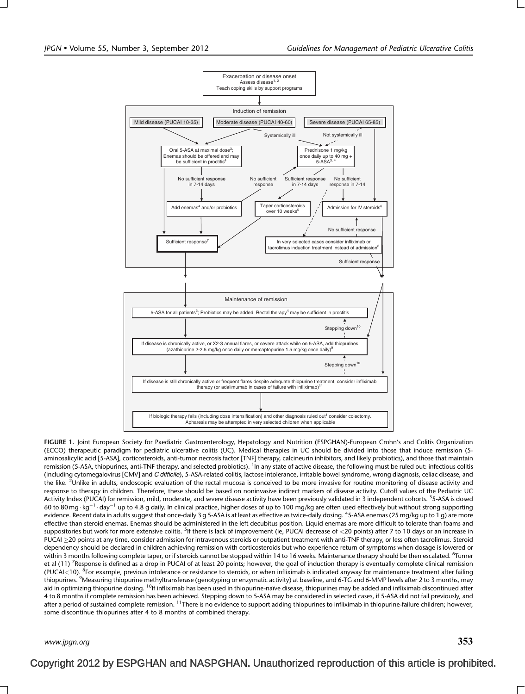<span id="page-13-0"></span>

FIGURE 1. Joint European Society for Paediatric Gastroenterology, Hepatology and Nutrition (ESPGHAN)-European Crohn's and Colitis Organization (ECCO) therapeutic paradigm for pediatric ulcerative colitis (UC). Medical therapies in UC should be divided into those that induce remission (5 aminosalicylic acid [5-ASA], corticosteroids, anti-tumor necrosis factor [TNF] therapy, calcineurin inhibitors, and likely probiotics), and those that maintain remission (5-ASA, thiopurines, anti-TNF therapy, and selected probiotics). <sup>1</sup>In any state of active disease, the following must be ruled out: infectious colitis (including cytomegalovirus [CMV] and C difficile), 5-ASA-related colitis, lactose intolerance, irritable bowel syndrome, wrong diagnosis, celiac disease, and the like. <sup>2</sup>Unlike in adults, endoscopic evaluation of the rectal mucosa is conceived to be more invasive for routine monitoring of disease activity and response to therapy in children. Therefore, these should be based on noninvasive indirect markers of disease activity. Cutoff values of the Pediatric UC Activity Index (PUCAI) for remission, mild, moderate, and severe disease activity have been previously validated in 3 independent cohorts. <sup>3</sup>5-ASA is dosed 60 to 80 mg  $\cdot$  kg<sup>-1</sup> day<sup>-1</sup> up to 4.8 g daily. In clinical practice, higher doses of up to 100 mg/kg are often used effectively but without strong supporting evidence. Recent data in adults suggest that once-daily 3 g 5-ASA is at least as effective as twice-daily dosing. <sup>4</sup> 5-ASA enemas (25 mg/kg up to 1 g) are more effective than steroid enemas. Enemas should be administered in the left decubitus position. Liquid enemas are more difficult to tolerate than foams and suppositories but work for more extensive colitis. <sup>5</sup>If there is lack of improvement (ie, PUCAI decrease of <20 points) after 7 to 10 days or an increase in PUCAI  $\geq$ 20 points at any time, consider admission for intravenous steroids or outpatient treatment with anti-TNF therapy, or less often tacrolimus. Steroid dependency should be declared in children achieving remission with corticosteroids but who experience return of symptoms when dosage is lowered or within 3 months following complete taper, or if steroids cannot be stopped within 14 to 16 weeks. Maintenance therapy should be then escalated. <sup>6</sup>Turner et al [\(11\)](#page-14-0) <sup>7</sup>Response is defined as a drop in PUCAI of at least 20 points; however, the goal of induction therapy is eventually complete clinical remission (PUCAI<10). <sup>8</sup>For example, previous intolerance or resistance to steroids, or when infliximab is indicated anyway for maintenance treatment after failing thiopurines. <sup>9</sup>Measuring thiopurine methyltransferase (genotyping or enzymatic activity) at baseline, and 6-TG and 6-MMP levels after 2 to 3 months, may aid in optimizing thiopurine dosing. <sup>10</sup>If infliximab has been used in thiopurine-naïve disease, thiopurines may be added and infliximab discontinued after 4 to 8 months if complete remission has been achieved. Stepping down to 5-ASA may be considered in selected cases, if 5-ASA did not fail previously, and after a period of sustained complete remission. <sup>11</sup>There is no evidence to support adding thiopurines to infliximab in thiopurine-failure children; however, some discontinue thiopurines after 4 to 8 months of combined therapy.

### www.jpgn.org  $353$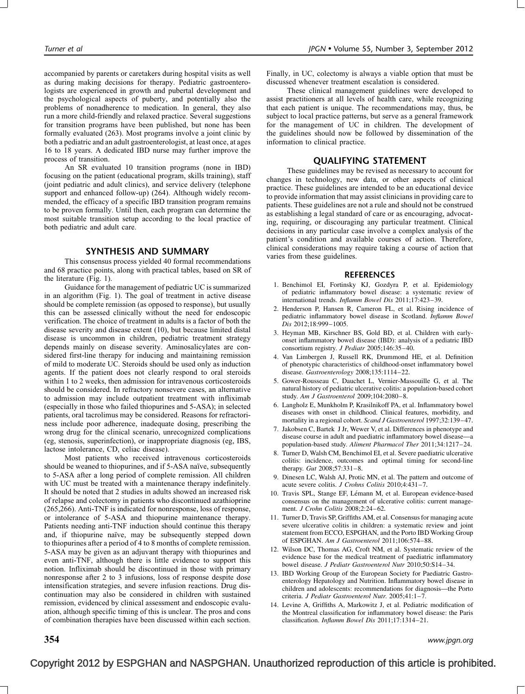<span id="page-14-0"></span>accompanied by parents or caretakers during hospital visits as well as during making decisions for therapy. Pediatric gastroenterologists are experienced in growth and pubertal development and the psychological aspects of puberty, and potentially also the problems of nonadherence to medication. In general, they also run a more child-friendly and relaxed practice. Several suggestions for transition programs have been published, but none has been formally evaluated [\(263\).](#page-20-0) Most programs involve a joint clinic by both a pediatric and an adult gastroenterologist, at least once, at ages 16 to 18 years. A dedicated IBD nurse may further improve the process of transition.

An SR evaluated 10 transition programs (none in IBD) focusing on the patient (educational program, skills training), staff (joint pediatric and adult clinics), and service delivery (telephone support and enhanced follow-up) [\(264\)](#page-20-0). Although widely recommended, the efficacy of a specific IBD transition program remains to be proven formally. Until then, each program can determine the most suitable transition setup according to the local practice of both pediatric and adult care.

### SYNTHESIS AND SUMMARY

This consensus process yielded 40 formal recommendations and 68 practice points, along with practical tables, based on SR of the literature ([Fig. 1](#page-13-0)).

Guidance for the management of pediatric UC is summarized in an algorithm [\(Fig. 1](#page-13-0)). The goal of treatment in active disease should be complete remission (as opposed to response), but usually this can be assessed clinically without the need for endoscopic verification. The choice of treatment in adults is a factor of both the disease severity and disease extent (10), but because limited distal disease is uncommon in children, pediatric treatment strategy depends mainly on disease severity. Aminosalicylates are considered first-line therapy for inducing and maintaining remission of mild to moderate UC. Steroids should be used only as induction agents. If the patient does not clearly respond to oral steroids within 1 to 2 weeks, then admission for intravenous corticosteroids should be considered. In refractory nonsevere cases, an alternative to admission may include outpatient treatment with infliximab (especially in those who failed thiopurines and 5-ASA); in selected patients, oral tacrolimus may be considered. Reasons for refractoriness include poor adherence, inadequate dosing, prescribing the wrong drug for the clinical scenario, unrecognized complications (eg, stenosis, superinfection), or inappropriate diagnosis (eg, IBS, lactose intolerance, CD, celiac disease).

Most patients who received intravenous corticosteroids should be weaned to thiopurines, and if 5-ASA naïve, subsequently to 5-ASA after a long period of complete remission. All children with UC must be treated with a maintenance therapy indefinitely. It should be noted that 2 studies in adults showed an increased risk of relapse and colectomy in patients who discontinued azathioprine [\(265,266\)](#page-20-0). Anti-TNF is indicated for nonresponse, loss of response, or intolerance of 5-ASA and thiopurine maintenance therapy. Patients needing anti-TNF induction should continue this therapy and, if thiopurine naïve, may be subsequently stepped down to thiopurines after a period of 4 to 8 months of complete remission. 5-ASA may be given as an adjuvant therapy with thiopurines and even anti-TNF, although there is little evidence to support this notion. Infliximab should be discontinued in those with primary nonresponse after 2 to 3 infusions, loss of response despite dose intensification strategies, and severe infusion reactions. Drug discontinuation may also be considered in children with sustained remission, evidenced by clinical assessment and endoscopic evaluation, although specific timing of this is unclear. The pros and cons of combination therapies have been discussed within each section.

Finally, in UC, colectomy is always a viable option that must be discussed whenever treatment escalation is considered.

These clinical management guidelines were developed to assist practitioners at all levels of health care, while recognizing that each patient is unique. The recommendations may, thus, be subject to local practice patterns, but serve as a general framework for the management of UC in children. The development of the guidelines should now be followed by dissemination of the information to clinical practice.

#### QUALIFYING STATEMENT

These guidelines may be revised as necessary to account for changes in technology, new data, or other aspects of clinical practice. These guidelines are intended to be an educational device to provide information that may assist clinicians in providing care to patients. These guidelines are not a rule and should not be construed as establishing a legal standard of care or as encouraging, advocating, requiring, or discouraging any particular treatment. Clinical decisions in any particular case involve a complex analysis of the patient's condition and available courses of action. Therefore, clinical considerations may require taking a course of action that varies from these guidelines.

#### **REFERENCES**

- 1. Benchimol EI, Fortinsky KJ, Gozdyra P, et al. Epidemiology of pediatric inflammatory bowel disease: a systematic review of international trends. Inflamm Bowel Dis 2011;17:423–39.
- 2. Henderson P, Hansen R, Cameron FL, et al. Rising incidence of pediatric inflammatory bowel disease in Scotland. Inflamm Bowel Dis 2012;18:999–1005.
- 3. Heyman MB, Kirschner BS, Gold BD, et al. Children with earlyonset inflammatory bowel disease (IBD): analysis of a pediatric IBD consortium registry. J Pediatr 2005;146:35–40.
- 4. Van Limbergen J, Russell RK, Drummond HE, et al. Definition of phenotypic characteristics of childhood-onset inflammatory bowel disease. Gastroenterology 2008;135:1114-22.
- 5. Gower-Rousseau C, Dauchet L, Vernier-Massouille G, et al. The natural history of pediatric ulcerative colitis: a population-based cohort study. Am J Gastroenterol 2009;104:2080–8.
- 6. Langholz E, Munkholm P, Krasilnikoff PA, et al. Inflammatory bowel diseases with onset in childhood. Clinical features, morbidity, and mortality in a regional cohort. Scand J Gastroenterol 1997;32:139–47.
- 7. Jakobsen C, Bartek J Jr, Wewer V, et al. Differences in phenotype and disease course in adult and paediatric inflammatory bowel disease—a population-based study. Aliment Pharmacol Ther 2011;34:1217–24.
- 8. Turner D, Walsh CM, Benchimol EI, et al. Severe paediatric ulcerative colitis: incidence, outcomes and optimal timing for second-line therapy. Gut 2008;57:331–8.
- 9. Dinesen LC, Walsh AJ, Protic MN, et al. The pattern and outcome of acute severe colitis. J Crohns Colitis 2010;4:431–7.
- 10. Travis SPL, Stange EF, Lémann M, et al. European evidence-based consensus on the management of ulcerative colitis: current management. J Crohn Colitis 2008;2:24–62.
- 11. Turner D, Travis SP, Griffiths AM, et al. Consensus for managing acute severe ulcerative colitis in children: a systematic review and joint statement from ECCO, ESPGHAN, and the Porto IBD Working Group of ESPGHAN. Am J Gastroenterol 2011;106:574–88.
- 12. Wilson DC, Thomas AG, Croft NM, et al. Systematic review of the evidence base for the medical treatment of paediatric inflammatory bowel disease. J Pediatr Gastroenterol Nutr 2010;50:S14-34.
- 13. IBD Working Group of the European Society for Paediatric Gastroenterology Hepatology and Nutrition. Inflammatory bowel disease in children and adolescents: recommendations for diagnosis—the Porto criteria. J Pediatr Gastroenterol Nutr. 2005;41:1–7.
- 14. Levine A, Griffiths A, Markowitz J, et al. Pediatric modification of the Montreal classification for inflammatory bowel disease: the Paris classification. Inflamm Bowel Dis 2011;17:1314–21.

 $354$  www.jpgn.org www.jpgn.org www.jpgn.org www.jpgn.org www.jpgn.org  $\,$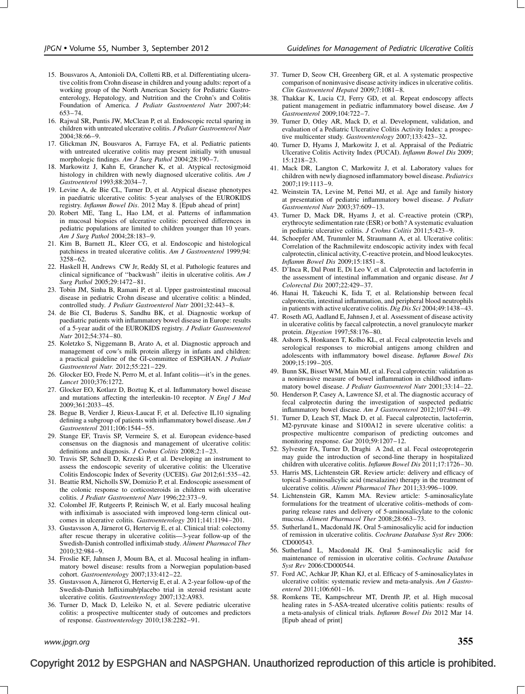- <span id="page-15-0"></span>15. Bousvaros A, Antonioli DA, Colletti RB, et al. Differentiating ulcerative colitis from Crohn disease in children and young adults: report of a working group of the North American Society for Pediatric Gastroenterology, Hepatology, and Nutrition and the Crohn's and Colitis Foundation of America. J Pediatr Gastroenterol Nutr 2007;44: 653–74.
- 16. Rajwal SR, Puntis JW, McClean P, et al. Endoscopic rectal sparing in children with untreated ulcerative colitis. J Pediatr Gastroenterol Nutr 2004;38:66–9.
- 17. Glickman JN, Bousvaros A, Farraye FA, et al. Pediatric patients with untreated ulcerative colitis may present initially with unusual morphologic findings. Am J Surg Pathol 2004;28:190-7.
- 18. Markowitz J, Kahn E, Grancher K, et al. Atypical rectosigmoid histology in children with newly diagnosed ulcerative colitis. Am J Gastroenterol 1993;88:2034–7.
- 19. Levine A, de Bie CL, Turner D, et al. Atypical disease phenotypes in paediatric ulcerative colitis: 5-year analyses of the EUROKIDS registry. Inflamm Bowel Dis. 2012 May 8. [Epub ahead of print]
- 20. Robert ME, Tang L, Hao LM, et al. Patterns of inflammation in mucosal biopsies of ulcerative colitis: perceived differences in pediatric populations are limited to children younger than 10 years. Am J Surg Pathol 2004;28:183–9.
- 21. Kim B, Barnett JL, Kleer CG, et al. Endoscopic and histological patchiness in treated ulcerative colitis. Am J Gastroenterol 1999;94: 3258–62.
- 22. Haskell H, Andrews CW Jr, Reddy SI, et al. Pathologic features and clinical significance of ''backwash'' ileitis in ulcerative colitis. Am J Surg Pathol 2005;29:1472–81.
- 23. Tobin JM, Sinha B, Ramani P, et al. Upper gastrointestinal mucosal disease in pediatric Crohn disease and ulcerative colitis: a blinded, controlled study. J Pediatr Gastroenterol Nutr 2001;32:443–8.
- 24. de Bie CI, Buderus S, Sandhu BK, et al. Diagnostic workup of paediatric patients with inflammatory bowel disease in Europe: results of a 5-year audit of the EUROKIDS registry. J Pediatr Gastroenterol Nutr 2012;54:374–80.
- 25. Koletzko S, Niggemann B, Arato A, et al. Diagnostic approach and management of cow's milk protein allergy in infants and children: a practical guideline of the GI-committee of ESPGHAN. J Pediatr Gastroenterol Nutr. 2012;55:221–229.
- 26. Glocker EO, Frede N, Perro M, et al. Infant colitis—it's in the genes. Lancet 2010;376:1272.
- 27. Glocker EO, Kotlarz D, Boztug K, et al. Inflammatory bowel disease and mutations affecting the interleukin-10 receptor. N Engl J Med 2009;361:2033–45.
- 28. Begue B, Verdier J, Rieux-Laucat F, et al. Defective IL10 signaling defining a subgroup of patients with inflammatory bowel disease. Am J Gastroenterol 2011;106:1544–55.
- 29. Stange EF, Travis SP, Vermeire S, et al. European evidence-based consensus on the diagnosis and management of ulcerative colitis: definitions and diagnosis. J Crohns Colitis 2008;2:1-23.
- 30. Travis SP, Schnell D, Krzeski P, et al. Developing an instrument to assess the endoscopic severity of ulcerative colitis: the Ulcerative Colitis Endoscopic Index of Severity (UCEIS). Gut 2012;61:535–42.
- 31. Beattie RM, Nicholls SW, Domizio P, et al. Endoscopic assessment of the colonic response to corticosteroids in children with ulcerative colitis. J Pediatr Gastroenterol Nutr 1996;22:373–9.
- 32. Colombel JF, Rutgeerts P, Reinisch W, et al. Early mucosal healing with infliximab is associated with improved long-term clinical outcomes in ulcerative colitis. Gastroenterology 2011;141:1194–201.
- 33. Gustavsson A, Järnerot G, Hertervig E, et al. Clinical trial: colectomy after rescue therapy in ulcerative colitis—3-year follow-up of the Swedish-Danish controlled infliximab study. Aliment Pharmacol Ther 2010;32:984–9.
- 34. Froslie KF, Jahnsen J, Moum BA, et al. Mucosal healing in inflammatory bowel disease: results from a Norwegian population-based cohort. Gastroenterology 2007;133:412–22.
- 35. Gustavsson A, Järnerot G, Hertervig E, et al. A 2-year follow-up of the Swedish-Danish Infliximab/placebo trial in steroid resistant acute ulcerative colitis. Gastroenterology 2007;132:A983.
- 36. Turner D, Mack D, Leleiko N, et al. Severe pediatric ulcerative colitis: a prospective multicenter study of outcomes and predictors of response. Gastroenterology 2010;138:2282–91.

www.jpgn.org  $355$ 

- 37. Turner D, Seow CH, Greenberg GR, et al. A systematic prospective comparison of noninvasive disease activity indices in ulcerative colitis. Clin Gastroenterol Hepatol 2009;7:1081–8.
- 38. Thakkar K, Lucia CJ, Ferry GD, et al. Repeat endoscopy affects patient management in pediatric inflammatory bowel disease. Am J Gastroenterol 2009;104:722–7.
- 39. Turner D, Otley AR, Mack D, et al. Development, validation, and evaluation of a Pediatric Ulcerative Colitis Activity Index: a prospective multicenter study. Gastroenterology 2007;133:423-32.
- 40. Turner D, Hyams J, Markowitz J, et al. Appraisal of the Pediatric Ulcerative Colitis Activity Index (PUCAI). Inflamm Bowel Dis 2009; 15:1218–23.
- 41. Mack DR, Langton C, Markowitz J, et al. Laboratory values for children with newly diagnosed inflammatory bowel disease. Pediatrics 2007;119:1113–9.
- 42. Weinstein TA, Levine M, Pettei MJ, et al. Age and family history at presentation of pediatric inflammatory bowel disease. J Pediatr Gastroenterol Nutr 2003;37:609–13.
- 43. Turner D, Mack DR, Hyams J, et al. C-reactive protein (CRP), erythrocyte sedimentation rate (ESR) or both? A systematic evaluation in pediatric ulcerative colitis. J Crohns Colitis 2011;5:423–9.
- 44. Schoepfer AM, Trummler M, Straumann A, et al. Ulcerative colitis: Correlation of the Rachmilewitz endoscopic activity index with fecal calprotectin, clinical activity, C-reactive protein, and blood leukocytes. Inflamm Bowel Dis 2009;15:1851–8.
- 45. D'Inca R, Dal Pont E, Di Leo V, et al. Calprotectin and lactoferrin in the assessment of intestinal inflammation and organic disease. Int J Colorectal Dis 2007;22:429–37.
- 46. Hanai H, Takeuchi K, Iida T, et al. Relationship between fecal calprotectin, intestinal inflammation, and peripheral blood neutrophils in patients with active ulcerative colitis. Dig Dis Sci 2004;49:1438–43.
- 47. Roseth AG, Aadland E, Jahnsen J, et al. Assessment of disease activity in ulcerative colitis by faecal calprotectin, a novel granulocyte marker protein. Digestion 1997;58:176–80.
- 48. Ashorn S, Honkanen T, Kolho KL, et al. Fecal calprotectin levels and serological responses to microbial antigens among children and adolescents with inflammatory bowel disease. Inflamm Bowel Dis 2009;15:199–205.
- 49. Bunn SK, Bisset WM, Main MJ, et al. Fecal calprotectin: validation as a noninvasive measure of bowel inflammation in childhood inflammatory bowel disease. J Pediatr Gastroenterol Nutr 2001;33:14–22.
- 50. Henderson P, Casey A, Lawrence SJ, et al. The diagnostic accuracy of fecal calprotectin during the investigation of suspected pediatric inflammatory bowel disease. Am J Gastroenterol 2012;107:941–49.
- 51. Turner D, Leach ST, Mack D, et al. Faecal calprotectin, lactoferrin, M2-pyruvate kinase and S100A12 in severe ulcerative colitis: a prospective multicentre comparison of predicting outcomes and monitoring response. Gut 2010;59:1207–12.
- 52. Sylvester FA, Turner D, Draghi A 2nd, et al. Fecal osteoprotegerin may guide the introduction of second-line therapy in hospitalized children with ulcerative colitis. Inflamm Bowel Dis 2011;17:1726–30.
- 53. Harris MS, Lichtenstein GR. Review article: delivery and efficacy of topical 5-aminosalicylic acid (mesalazine) therapy in the treatment of ulcerative colitis. Aliment Pharmacol Ther 2011;33:996–1009.
- 54. Lichtenstein GR, Kamm MA. Review article: 5-aminosalicylate formulations for the treatment of ulcerative colitis–methods of comparing release rates and delivery of 5-aminosalicylate to the colonic mucosa. Aliment Pharmacol Ther 2008;28:663–73.
- 55. Sutherland L, Macdonald JK. Oral 5-aminosalicylic acid for induction of remission in ulcerative colitis. Cochrane Database Syst Rev 2006: CD000543.
- 56. Sutherland L, Macdonald JK. Oral 5-aminosalicylic acid for maintenance of remission in ulcerative colitis. Cochrane Database Syst Rev 2006:CD000544.
- 57. Ford AC, Achkar JP, Khan KJ, et al. Efficacy of 5-aminosalicylates in ulcerative colitis: systematic review and meta-analysis. Am J Gastroenterol 2011;106:601–16.
- 58. Romkens TE, Kampschreur MT, Drenth JP, et al. High mucosal healing rates in 5-ASA-treated ulcerative colitis patients: results of a meta-analysis of clinical trials. Inflamm Bowel Dis 2012 Mar 14. [Epub ahead of print]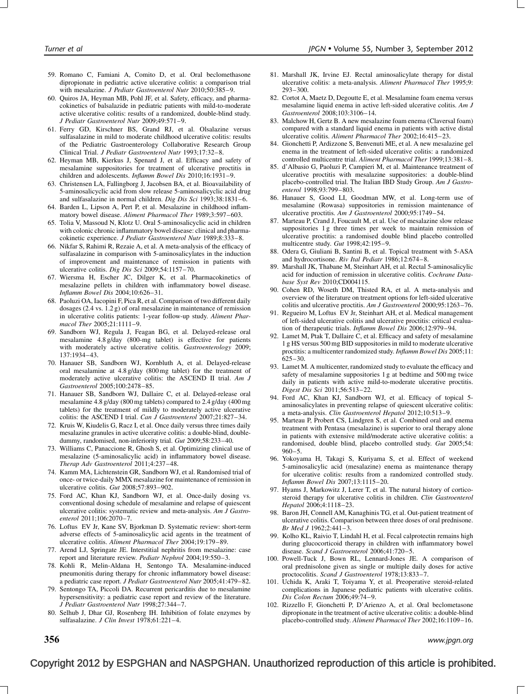- <span id="page-16-0"></span>59. Romano C, Famiani A, Comito D, et al. Oral beclomethasone dipropionate in pediatric active ulcerative colitis: a comparison trial with mesalazine. J Pediatr Gastroenterol Nutr 2010;50:385–9.
- 60. Quiros JA, Heyman MB, Pohl JF, et al. Safety, efficacy, and pharmacokinetics of balsalazide in pediatric patients with mild-to-moderate active ulcerative colitis: results of a randomized, double-blind study. J Pediatr Gastroenterol Nutr 2009;49:571–9.
- 61. Ferry GD, Kirschner BS, Grand RJ, et al. Olsalazine versus sulfasalazine in mild to moderate childhood ulcerative colitis: results of the Pediatric Gastroenterology Collaborative Research Group Clinical Trial. J Pediatr Gastroenterol Nutr 1993;17:32–8.
- 62. Heyman MB, Kierkus J, Spenard J, et al. Efficacy and safety of mesalamine suppositories for treatment of ulcerative proctitis in children and adolescents. Inflamm Bowel Dis 2010;16:1931-9.
- 63. Christensen LA, Fallingborg J, Jacobsen BA, et al. Bioavailability of 5-aminosalicyclic acid from slow release 5-aminosalicyclic acid drug and sulfasalazine in normal children. Dig Dis Sci 1993;38:1831–6.
- 64. Barden L, Lipson A, Pert P, et al. Mesalazine in childhood inflammatory bowel disease. Aliment Pharmacol Ther 1989;3:597–603.
- 65. Tolia V, Massoud N, Klotz U. Oral 5-aminosalicyclic acid in children with colonic chronic inflammatory bowel disease: clinical and pharmacokinetic experience. J Pediatr Gastroenterol Nutr 1989;8:333–8.
- 66. Nikfar S, Rahimi R, Rezaie A, et al. A meta-analysis of the efficacy of sulfasalazine in comparison with 5-aminosalicylates in the induction of improvement and maintenance of remission in patients with ulcerative colitis. Dig Dis Sci 2009;54:1157–70.
- 67. Wiersma H, Escher JC, Dilger K, et al. Pharmacokinetics of mesalazine pellets in children with inflammatory bowel disease. Inflamm Bowel Dis 2004;10:626–31.
- 68. Paoluzi OA, Iacopini F, Pica R, et al. Comparison of two different daily dosages (2.4 vs. 1.2 g) of oral mesalazine in maintenance of remission in ulcerative colitis patients: 1-year follow-up study. Aliment Pharmacol Ther 2005;21:1111–9.
- 69. Sandborn WJ, Regula J, Feagan BG, et al. Delayed-release oral mesalamine 4.8 g/day (800-mg tablet) is effective for patients with moderately active ulcerative colitis. Gastroenterology 2009; 137:1934–43.
- 70. Hanauer SB, Sandborn WJ, Kornbluth A, et al. Delayed-release oral mesalamine at 4.8 g/day (800 mg tablet) for the treatment of moderately active ulcerative colitis: the ASCEND II trial. Am J Gastroenterol 2005;100:2478–85.
- 71. Hanauer SB, Sandborn WJ, Dallaire C, et al. Delayed-release oral mesalamine 4.8 g/day (800 mg tablets) compared to 2.4 g/day (400 mg tablets) for the treatment of mildly to moderately active ulcerative colitis: the ASCEND I trial. Can J Gastroenterol 2007;21:827–34.
- 72. Kruis W, Kiudelis G, Racz I, et al. Once daily versus three times daily mesalazine granules in active ulcerative colitis: a double-blind, doubledummy, randomised, non-inferiority trial. Gut 2009;58:233–40.
- 73. Williams C, Panaccione R, Ghosh S, et al. Optimizing clinical use of mesalazine (5-aminosalicylic acid) in inflammatory bowel disease. Therap Adv Gastroenterol 2011;4:237–48.
- 74. Kamm MA, Lichtenstein GR, Sandborn WJ, et al. Randomised trial of once- or twice-daily MMX mesalazine for maintenance of remission in ulcerative colitis. Gut 2008;57:893–902.
- 75. Ford AC, Khan KJ, Sandborn WJ, et al. Once-daily dosing vs. conventional dosing schedule of mesalamine and relapse of quiescent ulcerative colitis: systematic review and meta-analysis. Am J Gastroenterol 2011;106:2070–7.
- 76. Loftus EV Jr, Kane SV, Bjorkman D. Systematic review: short-term adverse effects of 5-aminosalicylic acid agents in the treatment of ulcerative colitis. Aliment Pharmacol Ther 2004;19:179–89.
- 77. Arend LJ, Springate JE. Interstitial nephritis from mesalazine: case report and literature review. Pediatr Nephrol 2004;19:550–3.
- 78. Kohli R, Melin-Aldana H, Sentongo TA. Mesalamine-induced pneumonitis during therapy for chronic inflammatory bowel disease: a pediatric case report. J Pediatr Gastroenterol Nutr 2005;41:479–82.
- 79. Sentongo TA, Piccoli DA. Recurrent pericarditis due to mesalamine hypersensitivity: a pediatric case report and review of the literature. J Pediatr Gastroenterol Nutr 1998;27:344–7.
- 80. Selhub J, Dhar GJ, Rosenberg IH. Inhibition of folate enzymes by sulfasalazine. J Clin Invest 1978;61:221-4.
- 81. Marshall JK, Irvine EJ. Rectal aminosalicylate therapy for distal ulcerative colitis: a meta-analysis. Aliment Pharmacol Ther 1995;9: 293–300.
- 82. Cortot A, Maetz D, Degoutte E, et al. Mesalamine foam enema versus mesalamine liquid enema in active left-sided ulcerative colitis. Am  $J$ Gastroenterol 2008;103:3106–14.
- 83. Malchow H, Gertz B. A new mesalazine foam enema (Claversal foam) compared with a standard liquid enema in patients with active distal ulcerative colitis. Aliment Pharmacol Ther 2002;16:415-23.
- 84. Gionchetti P, Ardizzone S, Benvenuti ME, et al. A new mesalazine gel enema in the treatment of left-sided ulcerative colitis: a randomized controlled multicentre trial. Aliment Pharmacol Ther 1999;13:381–8.
- 85. d'Albasio G, Paoluzi P, Campieri M, et al. Maintenance treatment of ulcerative proctitis with mesalazine suppositories: a double-blind placebo-controlled trial. The Italian IBD Study Group. Am J Gastroenterol 1998;93:799–803.
- 86. Hanauer S, Good LI, Goodman MW, et al. Long-term use of mesalamine (Rowasa) suppositories in remission maintenance of ulcerative proctitis. Am J Gastroenterol 2000;95:1749-54.
- 87. Marteau P, Crand J, Foucault M, et al. Use of mesalazine slow release suppositories 1 g three times per week to maintain remission of ulcerative proctitis: a randomised double blind placebo controlled multicentre study. Gut 1998;42:195–9.
- 88. Odera G, Giuliani B, Santini B, et al. Topical treatment with 5-ASA and hydrocortisone. Riv Ital Pediatr 1986;12:674–8.
- 89. Marshall JK, Thabane M, Steinhart AH, et al. Rectal 5-aminosalicylic acid for induction of remission in ulcerative colitis. Cochrane Database Syst Rev 2010;CD004115.
- 90. Cohen RD, Woseth DM, Thisted RA, et al. A meta-analysis and overview of the literature on treatment options for left-sided ulcerative colitis and ulcerative proctitis. Am J Gastroenterol 2000;95:1263–76.
- 91. Regueiro M, Loftus EV Jr, Steinhart AH, et al. Medical management of left-sided ulcerative colitis and ulcerative proctitis: critical evaluation of therapeutic trials. Inflamm Bowel Dis 2006;12:979–94.
- 92. Lamet M, Ptak T, Dallaire C, et al. Efficacy and safety of mesalamine 1 g HS versus 500 mg BID suppositories in mild to moderate ulcerative proctitis: a multicenter randomized study. Inflamm Bowel Dis 2005;11: 625–30.
- 93. Lamet M. A multicenter, randomized study to evaluate the efficacy and safety of mesalamine suppositories 1 g at bedtime and 500 mg twice daily in patients with active mild-to-moderate ulcerative proctitis. Digest Dis Sci 2011;56:513–22.
- 94. Ford AC, Khan KJ, Sandborn WJ, et al. Efficacy of topical 5 aminosalicylates in preventing relapse of quiescent ulcerative colitis: a meta-analysis. Clin Gastroenterol Hepatol 2012;10:513–9.
- 95. Marteau P, Probert CS, Lindgren S, et al. Combined oral and enema treatment with Pentasa (mesalazine) is superior to oral therapy alone in patients with extensive mild/moderate active ulcerative colitis: a randomised, double blind, placebo controlled study. Gut 2005;54:  $960 - 5$ .
- 96. Yokoyama H, Takagi S, Kuriyama S, et al. Effect of weekend 5-aminosalicylic acid (mesalazine) enema as maintenance therapy for ulcerative colitis: results from a randomized controlled study. Inflamm Bowel Dis 2007;13:1115–20.
- 97. Hyams J, Markowitz J, Lerer T, et al. The natural history of corticosteroid therapy for ulcerative colitis in children. Clin Gastroenterol Hepatol 2006;4:1118–23.
- 98. Baron JH, Connell AM, Kanaghinis TG, et al. Out-patient treatment of ulcerative colitis. Comparison between three doses of oral prednisone. Br Med J 1962;2:441–3.
- 99. Kolho KL, Raivio T, Lindahl H, et al. Fecal calprotectin remains high during glucocorticoid therapy in children with inflammatory bowel disease. Scand J Gastroenterol 2006;41:720–5.
- 100. Powell-Tuck J, Bown RL, Lennard-Jones JE. A comparison of oral prednisolone given as single or multiple daily doses for active proctocolitis. Scand J Gastroenterol 1978;13:833–7.
- 101. Uchida K, Araki T, Toiyama Y, et al. Preoperative steroid-related complications in Japanese pediatric patients with ulcerative colitis. Dis Colon Rectum 2006;49:74–9.
- 102. Rizzello F, Gionchetti P, D'Arienzo A, et al. Oral beclometasone dipropionate in the treatment of active ulcerative colitis: a double-blind placebo-controlled study. Aliment Pharmacol Ther 2002;16:1109–16.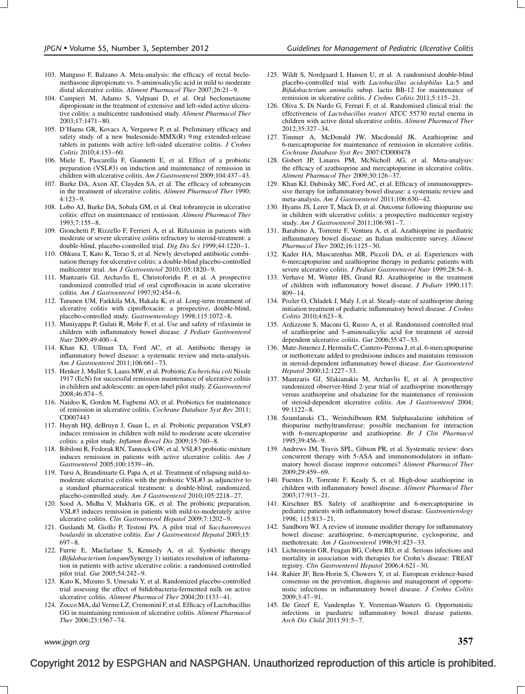- <span id="page-17-0"></span>103. Manguso F, Balzano A. Meta-analysis: the efficacy of rectal beclomethasone dipropionate vs. 5-aminosalicylic acid in mild to moderate distal ulcerative colitis. Aliment Pharmacol Ther 2007;26:21–9.
- 104. Campieri M, Adamo S, Valpiani D, et al. Oral beclometasone dipropionate in the treatment of extensive and left-sided active ulcerative colitis: a multicentre randomised study. Aliment Pharmacol Ther 2003;17:1471–80.
- 105. D'Haens GR, Kovacs A, Vergauwe P, et al. Preliminary efficacy and safety study of a new budesonide-MMX(R) 9 mg extended-release tablets in patients with active left-sided ulcerative colitis. J Crohns Colitis 2010;4:153–60.
- 106. Miele E, Pascarella F, Giannetti E, et al. Effect of a probiotic preparation (VSL#3) on induction and maintenance of remission in children with ulcerative colitis. Am J Gastroenterol 2009;104:437–43.
- 107. Burke DA, Axon AT, Clayden SA, et al. The efficacy of tobramycin in the treatment of ulcerative colitis. Aliment Pharmacol Ther 1990; 4:123–9.
- 108. Lobo AJ, Burke DA, Sobala GM, et al. Oral tobramycin in ulcerative colitis: effect on maintenance of remission. Aliment Pharmacol Ther 1993;7:155–8.
- 109. Gionchetti P, Rizzello F, Ferrieri A, et al. Rifaximin in patients with moderate or severe ulcerative colitis refractory to steroid-treatment: a double-blind, placebo-controlled trial. Dig Dis Sci 1999;44:1220-1.
- 110. Ohkusa T, Kato K, Terao S, et al. Newly developed antibiotic combination therapy for ulcerative colitis: a double-blind placebo-controlled multicenter trial. Am J Gastroenterol 2010;105:1820–9.
- 111. Mantzaris GJ, Archavlis E, Christoforidis P, et al. A prospective randomized controlled trial of oral ciprofloxacin in acute ulcerative colitis. Am J Gastroenterol 1997;92:454–6.
- 112. Turunen UM, Farkkila MA, Hakala K, et al. Long-term treatment of ulcerative colitis with ciprofloxacin: a prospective, double-blind, placebo-controlled study. Gastroenterology 1998;115:1072–8.
- 113. Muniyappa P, Gulati R, Mohr F, et al. Use and safety of rifaximin in children with inflammatory bowel disease. J Pediatr Gastroenterol Nutr 2009;49:400–4.
- 114. Khan KJ, Ullman TA, Ford AC, et al. Antibiotic therapy in inflammatory bowel disease: a systematic review and meta-analysis. Am J Gastroenterol 2011;106:661–73.
- 115. Henker J, Muller S, Laass MW, et al. Probiotic Escherichia coli Nissle 1917 (EcN) for successful remission maintenance of ulcerative colitis in children and adolescents: an open-label pilot study. Z Gastroenterol 2008;46:874–5.
- 116. Naidoo K, Gordon M, Fagbemi AO, et al. Probiotics for maintenance of remission in ulcerative colitis. Cochrane Database Syst Rev 2011; CD007443
- 117. Huynh HQ, deBruyn J, Guan L, et al. Probiotic preparation VSL#3 induces remission in children with mild to moderate acute ulcerative colitis: a pilot study. Inflamm Bowel Dis 2009;15:760–8.
- 118. Bibiloni R, Fedorak RN, Tannock GW, et al. VSL#3 probiotic-mixture induces remission in patients with active ulcerative colitis. Am J Gastroenterol 2005;100:1539–46.
- 119. Tursi A, Brandimarte G, Papa A, et al. Treatment of relapsing mild-tomoderate ulcerative colitis with the probiotic VSL#3 as adjunctive to a standard pharmaceutical treatment: a double-blind, randomized, placebo-controlled study. Am J Gastroenterol 2010;105:2218–27.
- 120. Sood A, Midha V, Makharia GK, et al. The probiotic preparation, VSL#3 induces remission in patients with mild-to-moderately active ulcerative colitis. Clin Gastroenterol Hepatol 2009;7:1202–9.
- 121. Guslandi M, Giollo P, Testoni PA. A pilot trial of Saccharomyces boulardii in ulcerative colitis. Eur J Gastroenterol Hepatol 2003;15: 697–8.
- 122. Furrie E, Macfarlane S, Kennedy A, et al. Synbiotic therapy (Bifidobacterium longum/Synergy 1) initiates resolution of inflammation in patients with active ulcerative colitis: a randomised controlled pilot trial. Gut 2005;54:242–9.
- 123. Kato K, Mizuno S, Umesaki Y, et al. Randomized placebo-controlled trial assessing the effect of bifidobacteria-fermented milk on active ulcerative colitis. Aliment Pharmacol Ther 2004;20:1133–41.
- 124. Zocco MA, dal Verme LZ, Cremonini F, et al. Efficacy of Lactobacillus GG in maintaining remission of ulcerative colitis. Aliment Pharmacol Ther 2006;23:1567–74.

125. Wildt S, Nordgaard I, Hansen U, et al. A randomised double-blind placebo-controlled trial with Lactobacillus acidophilus La-5 and Bifidobacterium animalis subsp. lactis BB-12 for maintenance of remission in ulcerative colitis. J Crohns Colitis 2011;5:115–21.

- 126. Oliva S, Di Nardo G, Ferrari F, et al. Randomised clinical trial: the effectiveness of Lactobacillus reuteri ATCC 55730 rectal enema in children with active distal ulcerative colitis. Aliment Pharmacol Ther 2012;35:327–34.
- 127. Timmer A, McDonald JW, Macdonald JK. Azathioprine and 6-mercaptopurine for maintenance of remission in ulcerative colitis. Cochrane Database Syst Rev 2007:CD000478
- 128. Gisbert JP, Linares PM, McNicholl AG, et al. Meta-analysis: the efficacy of azathioprine and mercaptopurine in ulcerative colitis. Aliment Pharmacol Ther 2009;30:126–37.
- 129. Khan KJ, Dubinsky MC, Ford AC, et al. Efficacy of immunosuppressive therapy for inflammatory bowel disease: a systematic review and meta-analysis. Am J Gastroenterol 2011;106:630–42.
- 130. Hyams JS, Lerer T, Mack D, et al. Outcome following thiopurine use in children with ulcerative colitis: a prospective multicenter registry study. Am J Gastroenterol 2011;106:981–7.
- 131. Barabino A, Torrente F, Ventura A, et al. Azathioprine in paediatric inflammatory bowel disease: an Italian multicentre survey. Aliment Pharmacol Ther 2002;16:1125–30.
- 132. Kader HA, Mascarenhas MR, Piccoli DA, et al. Experiences with 6-mercaptopurine and azathioprine therapy in pediatric patients with severe ulcerative colitis. *J Pediatr Gastroenterol Nutr* 1999:28:54-8.
- 133. Verhave M, Winter HS, Grand RJ. Azathioprine in the treatment of children with inflammatory bowel disease. J Pediatr 1990;117: 809–14.
- 134. Pozler O, Chladek J, Maly J, et al. Steady-state of azathioprine during initiation treatment of pediatric inflammatory bowel disease. J Crohns Colitis 2010;4:623–8.
- 135. Ardizzone S, Maconi G, Russo A, et al. Randomised controlled trial of azathioprine and 5-aminosalicylic acid for treatment of steroid dependent ulcerative colitis. Gut 2006;55:47–53.
- 136. Mate-Jimenez J, Hermida C, Cantero-Perona J, et al. 6-mercaptopurine or methotrexate added to prednisone induces and maintains remission in steroid-dependent inflammatory bowel disease. Eur Gastroenterol Hepatol 2000;12:1227–33.
- 137. Mantzaris GJ, Sfakianakis M, Archavlis E, et al. A prospective randomized observer-blind 2-year trial of azathioprine monotherapy versus azathioprine and olsalazine for the maintenance of remission of steroid-dependent ulcerative colitis. Am J Gastroenterol 2004; 99:1122–8.
- 138. Szumlanski CL, Weinshilboum RM. Sulphasalazine inhibition of thiopurine methyltransferase: possible mechanism for interaction with 6-mercaptopurine and azathioprine. Br J Clin Pharmacol 1995;39:456–9.
- 139. Andrews JM, Travis SPL, Gibson PR, et al. Systematic review: does concurrent therapy with 5-ASA and immunomodulators in inflammatory bowel disease improve outcomes? Aliment Pharmacol Ther 2009;29:459–69.
- 140. Fuentes D, Torrente F, Keady S, et al. High-dose azathioprine in children with inflammatory bowel disease. Aliment Pharmacol Ther 2003;17:913–21.
- 141. Kirschner BS. Safety of azathioprine and 6-mercaptopurine in pediatric patients with inflammatory bowel disease. Gastroenterology 1998; 115:813–21.
- 142. Sandborn WJ. A review of immune modifier therapy for inflammatory bowel disease: azathioprine, 6-mercaptopurine, cyclosporine, and methotrexate. Am J Gastroenterol 1996;91:423–33.
- 143. Lichtenstein GR, Feagan BG, Cohen RD, et al. Serious infections and mortality in association with therapies for Crohn's disease: TREAT registry. Clin Gastroenterol Hepatol 2006;4:621–30.
- 144. Rahier JF, Ben-Horin S, Chowers Y, et al. European evidence-based consensus on the prevention, diagnosis and management of opportunistic infections in inflammatory bowel disease. J Crohns Colitis 2009;3:47–91.
- 145. De Greef E, Vandenplas Y, Veereman-Wauters G. Opportunistic infections in paediatric inflammatory bowel disease patients. Arch Dis Child 2011;91:5–7.

www.jpgn.org  $357$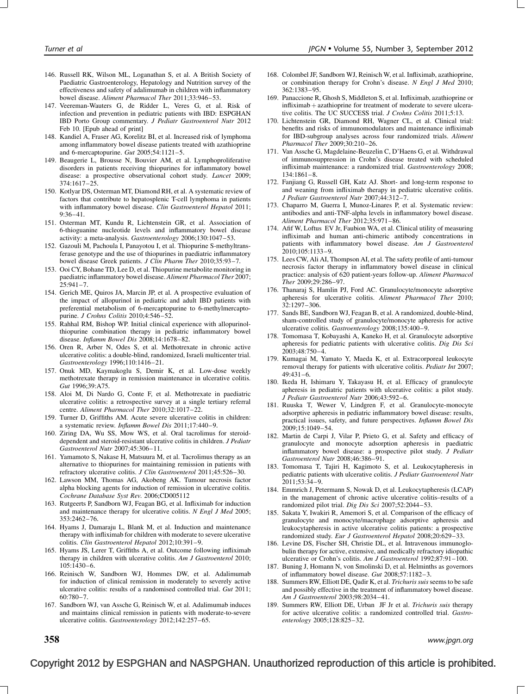- <span id="page-18-0"></span>146. Russell RK, Wilson ML, Loganathan S, et al. A British Society of Paediatric Gastroenterology, Hepatology and Nutrition survey of the effectiveness and safety of adalimumab in children with inflammatory bowel disease. Aliment Pharmacol Ther 2011;33:946–53.
- 147. Veereman-Wauters G, de Ridder L, Veres G, et al. Risk of infection and prevention in pediatric patients with IBD: ESPGHAN IBD Porto Group commentary. J Pediatr Gastroenterol Nutr 2012 Feb 10. [Epub ahead of print]
- 148. Kandiel A, Fraser AG, Korelitz BI, et al. Increased risk of lymphoma among inflammatory bowel disease patients treated with azathioprine and 6-mercaptopurine. Gut 2005;54:1121–5.
- 149. Beaugerie L, Brousse N, Bouvier AM, et al. Lymphoproliferative disorders in patients receiving thiopurines for inflammatory bowel disease: a prospective observational cohort study. Lancet 2009; 374:1617–25.
- 150. Kotlyar DS, Osterman MT, Diamond RH, et al. A systematic review of factors that contribute to hepatosplenic T-cell lymphoma in patients with inflammatory bowel disease. Clin Gastroenterol Hepatol 2011; 9:36–41.
- 151. Osterman MT, Kundu R, Lichtenstein GR, et al. Association of 6-thioguanine nucleotide levels and inflammatory bowel disease activity: a meta-analysis. Gastroenterology 2006;130:1047–53.
- 152. Gazouli M, Pachoula I, Panayotou I, et al. Thiopurine S-methyltransferase genotype and the use of thiopurines in paediatric inflammatory bowel disease Greek patients. J Clin Pharm Ther 2010;35:93–7.
- 153. Ooi CY, Bohane TD, Lee D, et al. Thiopurine metabolite monitoring in paediatric inflammatory bowel disease. Aliment Pharmacol Ther 2007;  $25.941 - 7$ .
- 154. Gerich ME, Quiros JA, Marcin JP, et al. A prospective evaluation of the impact of allopurinol in pediatric and adult IBD patients with preferential metabolism of 6-mercaptopurine to 6-methylmercaptopurine. J Crohns Colitis 2010;4:546-52.
- 155. Rahhal RM, Bishop WP. Initial clinical experience with allopurinolthiopurine combination therapy in pediatric inflammatory bowel disease. Inflamm Bowel Dis 2008;14:1678–82.
- 156. Oren R, Arber N, Odes S, et al. Methotrexate in chronic active ulcerative colitis: a double-blind, randomized, Israeli multicenter trial. Gastroenterology 1996;110:1416–21.
- 157. Onuk MD, Kaymakoglu S, Demir K, et al. Low-dose weekly methotrexate therapy in remission maintenance in ulcerative colitis. Gut 1996;39:A75.
- 158. Aloi M, Di Nardo G, Conte F, et al. Methotrexate in paediatric ulcerative colitis: a retrospective survey at a single tertiary referral centre. Aliment Pharmacol Ther 2010;32:1017–22.
- 159. Turner D, Griffiths AM. Acute severe ulcerative colitis in children: a systematic review. Inflamm Bowel Dis 2011;17:440–9.
- 160. Ziring DA, Wu SS, Mow WS, et al. Oral tacrolimus for steroiddependent and steroid-resistant ulcerative colitis in children. J Pediatr Gastroenterol Nutr 2007;45:306–11.
- 161. Yamamoto S, Nakase H, Matsuura M, et al. Tacrolimus therapy as an alternative to thiopurines for maintaining remission in patients with refractory ulcerative colitis. J Clin Gastroenterol 2011;45:526–30.
- 162. Lawson MM, Thomas AG, Akobeng AK. Tumour necrosis factor alpha blocking agents for induction of remission in ulcerative colitis. Cochrane Database Syst Rev. 2006;CD005112
- 163. Rutgeerts P, Sandborn WJ, Feagan BG, et al. Infliximab for induction and maintenance therapy for ulcerative colitis. N Engl J Med 2005; 353:2462–76.
- 164. Hyams J, Damaraju L, Blank M, et al. Induction and maintenance therapy with infliximab for children with moderate to severe ulcerative colitis. Clin Gastroenterol Hepatol 2012;10:391–9.
- 165. Hyams JS, Lerer T, Griffiths A, et al. Outcome following infliximab therapy in children with ulcerative colitis. Am J Gastroenterol 2010; 105:1430–6.
- 166. Reinisch W, Sandborn WJ, Hommes DW, et al. Adalimumab for induction of clinical remission in moderately to severely active ulcerative colitis: results of a randomised controlled trial. Gut 2011; 60:780–7.
- 167. Sandborn WJ, van Assche G, Reinisch W, et al. Adalimumab induces and maintains clinical remission in patients with moderate-to-severe ulcerative colitis. Gastroenterology 2012;142:257–65.
- 168. Colombel JF, Sandborn WJ, Reinisch W, et al. Infliximab, azathioprine, or combination therapy for Crohn's disease. N Engl J Med 2010; 362:1383–95.
- 169. Panaccione R, Ghosh S, Middleton S, et al. Infliximab, azathioprine or  $infiximab + azathioprine$  for treatment of moderate to severe ulcerative colitis. The UC SUCCESS trial. *J Crohns Colitis* 2011;5:13.
- 170. Lichtenstein GR, Diamond RH, Wagner CL, et al. Clinical trial: benefits and risks of immunomodulators and maintenance infliximab for IBD-subgroup analyses across four randomized trials. Aliment Pharmacol Ther 2009;30:210–26.
- 171. Van Assche G, Magdelaine-Beuzelin C, D'Haens G, et al. Withdrawal of immunosuppression in Crohn's disease treated with scheduled infliximab maintenance: a randomized trial. Gastroenterology 2008; 134:1861–8.
- 172. Fanjiang G, Russell GH, Katz AJ. Short- and long-term response to and weaning from infliximab therapy in pediatric ulcerative colitis. J Pediatr Gastroenterol Nutr 2007;44:312–7.
- 173. Chaparro M, Guerra I, Munoz-Linares P, et al. Systematic review: antibodies and anti-TNF-alpha levels in inflammatory bowel disease. Aliment Pharmacol Ther 2012;35:971–86.
- 174. Afif W, Loftus EV Jr, Faubion WA, et al. Clinical utility of measuring infliximab and human anti-chimeric antibody concentrations in patients with inflammatory bowel disease. Am J Gastroenterol 2010;105:1133–9.
- 175. Lees CW, Ali AI, Thompson AI, et al. The safety profile of anti-tumour necrosis factor therapy in inflammatory bowel disease in clinical practice: analysis of 620 patient-years follow-up. Aliment Pharmacol Ther 2009;29:286–97.
- 176. Thanaraj S, Hamlin PJ, Ford AC. Granulocyte/monocyte adsorptive apheresis for ulcerative colitis. Aliment Pharmacol Ther 2010;  $32:1297-306$ .
- 177. Sands BE, Sandborn WJ, Feagan B, et al. A randomized, double-blind, sham-controlled study of granulocyte/monocyte apheresis for active ulcerative colitis. Gastroenterology 2008;135:400–9.
- 178. Tomomasa T, Kobayashi A, Kaneko H, et al. Granulocyte adsorptive apheresis for pediatric patients with ulcerative colitis. Dig Dis Sci 2003;48:750–4.
- 179. Kumagai M, Yamato Y, Maeda K, et al. Extracorporeal leukocyte removal therapy for patients with ulcerative colitis. Pediatr Int 2007; 49:431–6.
- 180. Ikeda H, Ishimaru Y, Takayasu H, et al. Efficacy of granulocyte apheresis in pediatric patients with ulcerative colitis: a pilot study. J Pediatr Gastroenterol Nutr 2006;43:592–6.
- 181. Ruuska T, Wewer V, Lindgren F, et al. Granulocyte-monocyte adsorptive apheresis in pediatric inflammatory bowel disease: results, practical issues, safety, and future perspectives. Inflamm Bowel Dis 2009;15:1049–54.
- 182. Martin de Carpi J, Vilar P, Prieto G, et al. Safety and efficacy of granulocyte and monocyte adsorption apheresis in paediatric inflammatory bowel disease: a prospective pilot study. J Pediatr Gastroenterol Nutr 2008;46:386–91.
- 183. Tomomasa T, Tajiri H, Kagimoto S, et al. Leukocytapheresis in pediatric patients with ulcerative colitis. J Pediatr Gastroenterol Nutr 2011;53:34–9.
- 184. Emmrich J, Petermann S, Nowak D, et al. Leukocytapheresis (LCAP) in the management of chronic active ulcerative colitis–results of a randomized pilot trial. Dig Dis Sci 2007;52:2044–53.
- 185. Sakata Y, Iwakiri R, Amemori S, et al. Comparison of the efficacy of granulocyte and monocyte/macrophage adsorptive apheresis and leukocytapheresis in active ulcerative colitis patients: a prospective randomized study. Eur J Gastroenterol Hepatol 2008;20:629–33.
- 186. Levine DS, Fischer SH, Christie DL, et al. Intravenous immunoglobulin therapy for active, extensive, and medically refractory idiopathic ulcerative or Crohn's colitis. Am J Gastroenterol 1992;87:91–100.
- 187. Buning J, Homann N, von Smolinski D, et al. Helminths as governors of inflammatory bowel disease. Gut 2008;57:1182–3.
- 188. Summers RW, Elliott DE, Qadir K, et al. Trichuris suis seems to be safe and possibly effective in the treatment of inflammatory bowel disease. Am J Gastroenterol 2003;98:2034–41.
- 189. Summers RW, Elliott DE, Urban JF Jr et al. Trichuris suis therapy for active ulcerative colitis: a randomized controlled trial. Gastroenterology 2005;128:825–32.

 $358$  www.jpgn.org www.jpgn.org www.jpgn.org www.jpgn.org www.jpgn.org www.jpgn.org www.jpgn.org  $\sim$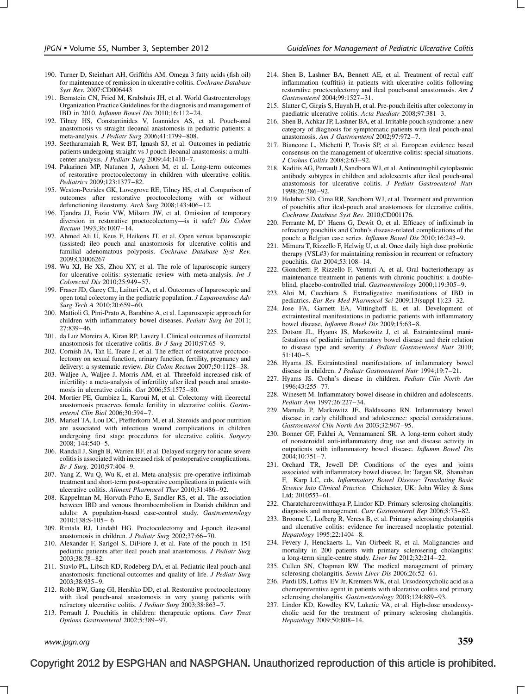- <span id="page-19-0"></span>190. Turner D, Steinhart AH, Griffiths AM. Omega 3 fatty acids (fish oil) for maintenance of remission in ulcerative colitis. Cochrane Database Syst Rev. 2007:CD006443
- 191. Bernstein CN, Fried M, Krabshuis JH, et al. World Gastroenterology Organization Practice Guidelines for the diagnosis and management of IBD in 2010. Inflamm Bowel Dis 2010;16:112–24.
- 192. Tilney HS, Constantinides V, Ioannides AS, et al. Pouch-anal anastomosis vs straight ileoanal anastomosis in pediatric patients: a meta-analysis. J Pediatr Surg 2006;41:1799–808.
- 193. Seetharamaiah R, West BT, Ignash SJ, et al. Outcomes in pediatric patients undergoing straight vs J pouch ileoanal anastomosis: a multicenter analysis. J Pediatr Surg 2009;44:1410-7.
- 194. Pakarinen MP, Natunen J, Ashorn M, et al. Long-term outcomes of restorative proctocolectomy in children with ulcerative colitis. Pediatrics 2009;123:1377–82.
- 195. Weston-Petrides GK, Lovegrove RE, Tilney HS, et al. Comparison of outcomes after restorative proctocolectomy with or without defunctioning ileostomy. Arch Surg 2008;143:406–12.
- 196. Tjandra JJ, Fazio VW, Milsom JW, et al. Omission of temporary diversion in restorative proctocolectomy—is it safe? Dis Colon Rectum 1993;36:1007–14.
- 197. Ahmed Ali U, Keus F, Heikens JT, et al. Open versus laparoscopic (assisted) ileo pouch anal anastomosis for ulcerative colitis and familial adenomatous polyposis. Cochrane Database Syst Rev. 2009;CD006267
- 198. Wu XJ, He XS, Zhou XY, et al. The role of laparoscopic surgery for ulcerative colitis: systematic review with meta-analysis. Int J Colorectal Dis 2010;25:949–57.
- 199. Fraser JD, Garey CL, Laituri CA, et al. Outcomes of laparoscopic and open total colectomy in the pediatric population. J Laparoendosc Adv Surg Tech A 2010;20:659–60.
- 200. Mattioli G, Pini-Prato A, Barabino A, et al. Laparoscopic approach for children with inflammatory bowel diseases. Pediatr Surg Int 2011; 27:839–46.
- 201. da Luz Moreira A, Kiran RP, Lavery I. Clinical outcomes of ileorectal anastomosis for ulcerative colitis. Br J Surg 2010;97:65–9.
- 202. Cornish JA, Tan E, Teare J, et al. The effect of restorative proctocolectomy on sexual function, urinary function, fertility, pregnancy and delivery: a systematic review. Dis Colon Rectum 2007;50:1128–38.
- 203. Waljee A, Waljee J, Morris AM, et al. Threefold increased risk of infertility: a meta-analysis of infertility after ileal pouch anal anastomosis in ulcerative colitis. Gut 2006;55:1575–80.
- 204. Mortier PE, Gambiez L, Karoui M, et al. Colectomy with ileorectal anastomosis preserves female fertility in ulcerative colitis. Gastroenterol Clin Biol 2006;30:594–7.
- 205. Markel TA, Lou DC, Pfefferkorn M, et al. Steroids and poor nutrition are associated with infectious wound complications in children undergoing first stage procedures for ulcerative colitis. Surgery 2008; 144:540–5.
- 206. Randall J, Singh B, Warren BF, et al. Delayed surgery for acute severe colitis is associated with increased risk of postoperative complications. Br J Surg. 2010;97:404–9.
- 207. Yang Z, Wu Q, Wu K, et al. Meta-analysis: pre-operative infliximab treatment and short-term post-operative complications in patients with ulcerative colitis. Aliment Pharmacol Ther 2010;31:486–92.
- 208. Kappelman M, Horvath-Puho E, Sandler RS, et al. The association between IBD and venous thromboembolism in Danish children and adults: A population-based case-control study. Gastroenterology 2010;138:S-105– 6
- 209. Rintala RJ, Lindahl HG. Proctocolectomy and J-pouch ileo-anal anastomosis in children. J Pediatr Surg 2002;37:66–70.
- 210. Alexander F, Sarigol S, DiFiore J, et al. Fate of the pouch in 151 pediatric patients after ileal pouch anal anastomosis. J Pediatr Surg 2003;38:78–82.
- 211. Stavlo PL, Libsch KD, Rodeberg DA, et al. Pediatric ileal pouch-anal anastomosis: functional outcomes and quality of life. J Pediatr Surg 2003;38:935–9.
- 212. Robb BW, Gang GI, Hershko DD, et al. Restorative proctocolectomy with ileal pouch-anal anastomosis in very young patients with refractory ulcerative colitis. J Pediatr Surg 2003;38:863–7.
- 213. Perrault J. Pouchitis in children: therapeutic options. Curr Treat Options Gastroenterol 2002;5:389–97.
- 214. Shen B, Lashner BA, Bennett AE, et al. Treatment of rectal cuff inflammation (cuffitis) in patients with ulcerative colitis following restorative proctocolectomy and ileal pouch-anal anastomosis. Am J Gastroenterol 2004;99:1527–31.
- 215. Slatter C, Girgis S, Huynh H, et al. Pre-pouch ileitis after colectomy in paediatric ulcerative colitis. Acta Paediatr 2008;97:381–3.
- 216. Shen B, Achkar JP, Lashner BA, et al. Irritable pouch syndrome: a new category of diagnosis for symptomatic patients with ileal pouch-anal anastomosis. Am J Gastroenterol 2002;97:972–7.
- 217. Biancone L, Michetti P, Travis SP, et al. European evidence based consensus on the management of ulcerative colitis: special situations. J Crohns Colitis 2008;2:63–92.
- 218. Kaditis AG, Perrault J, Sandborn WJ, et al. Antineutrophil cytoplasmic antibody subtypes in children and adolescents after ileal pouch-anal anastomosis for ulcerative colitis. J Pediatr Gastroenterol Nutr 1998;26:386–92.
- 219. Holubar SD, Cima RR, Sandborn WJ, et al. Treatment and prevention of pouchitis after ileal-pouch anal anastomosis for ulcerative colitis. Cochrane Database Syst Rev. 2010;CD001176.
- 220. Ferrante M, D' Haens G, Dewit O, et al. Efficacy of infliximab in refractory pouchitis and Crohn's disease-related complications of the pouch: a Belgian case series. *Inflamm Bowel Dis* 2010;16:243-9.
- 221. Mimura T, Rizzello F, Helwig U, et al. Once daily high dose probiotic therapy (VSL#3) for maintaining remission in recurrent or refractory pouchitis. Gut 2004;53:108–14.
- 222. Gionchetti P, Rizzello F, Venturi A, et al. Oral bacteriotherapy as maintenance treatment in patients with chronic pouchitis: a doubleblind, placebo-controlled trial. Gastroenterology 2000;119:305-9.
- 223. Aloi M, Cucchiara S. Extradigestive manifestations of IBD in pediatrics. Eur Rev Med Pharmacol Sci 2009;13(suppl 1):23–32.
- 224. Jose FA, Garnett EA, Vittinghoff E, et al. Development of extraintestinal manifestations in pediatric patients with inflammatory bowel disease. Inflamm Bowel Dis 2009;15:63–8.
- 225. Dotson JL, Hyams JS, Markowitz J, et al. Extraintestinal manifestations of pediatric inflammatory bowel disease and their relation to disease type and severity. J Pediatr Gastroenterol Nutr 2010;  $51:140-5$
- 226. Hyams JS. Extraintestinal manifestations of inflammatory bowel disease in children. J Pediatr Gastroenterol Nutr 1994;19:7–21.
- 227. Hyams JS. Crohn's disease in children. Pediatr Clin North Am 1996;43:255–77.
- 228. Winesett M. Inflammatory bowel disease in children and adolescents. Pediatr Ann 1997;26:227–34.
- 229. Mamula P, Markowitz JE, Baldassano RN. Inflammatory bowel disease in early childhood and adolescence: special considerations. Gastroenterol Clin North Am 2003;32:967–95.
- 230. Bonner GF, Fakhri A, Vennamaneni SR. A long-term cohort study of nonsteroidal anti-inflammatory drug use and disease activity in outpatients with inflammatory bowel disease. Inflamm Bowel Dis 2004;10:751–7.
- 231. Orchard TR, Jewell DP. Conditions of the eyes and joints associated with inflammatory bowel disease. In: Targan SR, Shanahan F, Karp LC, eds. Inflammatory Bowel Disease: Translating Basic Science Into Clinical Practice. Chichester, UK: John Wiley & Sons Ltd; 2010553-61.
- 232. Charatcharoenwitthaya P, Lindor KD. Primary sclerosing cholangitis: diagnosis and management. Curr Gastroenterol Rep 2006;8:75–82.
- 233. Broome U, Lofberg R, Veress B, et al. Primary sclerosing cholangitis and ulcerative colitis: evidence for increased neoplastic potential. Hepatology 1995;22:1404–8.
- 234. Fevery J, Henckaerts L, Van Oirbeek R, et al. Malignancies and mortality in 200 patients with primary sclerosering cholangitis: a long-term single-centre study. Liver Int 2012;32:214–22.
- 235. Cullen SN, Chapman RW. The medical management of primary sclerosing cholangitis. Semin Liver Dis 2006;26:52-61.
- 236. Pardi DS, Loftus EV Jr, Kremers WK, et al. Ursodeoxycholic acid as a chemopreventive agent in patients with ulcerative colitis and primary sclerosing cholangitis. Gastroenterology 2003;124:889-93.
- 237. Lindor KD, Kowdley KV, Luketic VA, et al. High-dose ursodeoxycholic acid for the treatment of primary sclerosing cholangitis. Hepatology 2009;50:808–14.

www.jpgn.org  $359$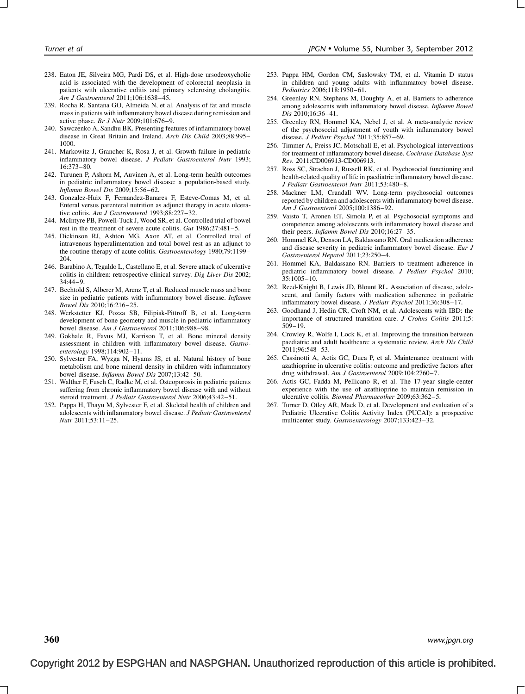- <span id="page-20-0"></span>238. Eaton JE, Silveira MG, Pardi DS, et al. High-dose ursodeoxycholic acid is associated with the development of colorectal neoplasia in patients with ulcerative colitis and primary sclerosing cholangitis. Am J Gastroenterol 2011;106:1638–45.
- 239. Rocha R, Santana GO, Almeida N, et al. Analysis of fat and muscle mass in patients with inflammatory bowel disease during remission and active phase. Br J Nutr 2009;101:676–9.
- 240. Sawczenko A, Sandhu BK. Presenting features of inflammatory bowel disease in Great Britain and Ireland. Arch Dis Child 2003;88:995– 1000.
- 241. Markowitz J, Grancher K, Rosa J, et al. Growth failure in pediatric inflammatory bowel disease. J Pediatr Gastroenterol Nutr 1993; 16:373–80.
- 242. Turunen P, Ashorn M, Auvinen A, et al. Long-term health outcomes in pediatric inflammatory bowel disease: a population-based study. Inflamm Bowel Dis 2009;15:56–62.
- 243. Gonzalez-Huix F, Fernandez-Banares F, Esteve-Comas M, et al. Enteral versus parenteral nutrition as adjunct therapy in acute ulcerative colitis. Am J Gastroenterol 1993;88:227–32.
- 244. McIntyre PB, Powell-Tuck J, Wood SR, et al. Controlled trial of bowel rest in the treatment of severe acute colitis. Gut 1986;27:481–5.
- 245. Dickinson RJ, Ashton MG, Axon AT, et al. Controlled trial of intravenous hyperalimentation and total bowel rest as an adjunct to the routine therapy of acute colitis. Gastroenterology 1980;79:1199– 204.
- 246. Barabino A, Tegaldo L, Castellano E, et al. Severe attack of ulcerative colitis in children: retrospective clinical survey. Dig Liver Dis 2002; 34:44–9.
- 247. Bechtold S, Alberer M, Arenz T, et al. Reduced muscle mass and bone size in pediatric patients with inflammatory bowel disease. Inflamm Bowel Dis 2010;16:216–25.
- 248. Werkstetter KJ, Pozza SB, Filipiak-Pittroff B, et al. Long-term development of bone geometry and muscle in pediatric inflammatory bowel disease. Am J Gastroenterol 2011;106:988–98.
- 249. Gokhale R, Favus MJ, Karrison T, et al. Bone mineral density assessment in children with inflammatory bowel disease. Gastroenterology 1998;114:902–11.
- 250. Sylvester FA, Wyzga N, Hyams JS, et al. Natural history of bone metabolism and bone mineral density in children with inflammatory bowel disease. Inflamm Bowel Dis 2007;13:42–50.
- 251. Walther F, Fusch C, Radke M, et al. Osteoporosis in pediatric patients suffering from chronic inflammatory bowel disease with and without steroid treatment. J Pediatr Gastroenterol Nutr 2006;43:42–51.
- 252. Pappa H, Thayu M, Sylvester F, et al. Skeletal health of children and adolescents with inflammatory bowel disease. J Pediatr Gastroenterol Nutr 2011;53:11–25.
- 253. Pappa HM, Gordon CM, Saslowsky TM, et al. Vitamin D status in children and young adults with inflammatory bowel disease. Pediatrics 2006;118:1950–61.
- 254. Greenley RN, Stephens M, Doughty A, et al. Barriers to adherence among adolescents with inflammatory bowel disease. Inflamm Bowel Dis 2010;16:36–41.
- 255. Greenley RN, Hommel KA, Nebel J, et al. A meta-analytic review of the psychosocial adjustment of youth with inflammatory bowel disease. J Pediatr Psychol 2011;35:857–69.
- 256. Timmer A, Preiss JC, Motschall E, et al. Psychological interventions for treatment of inflammatory bowel disease. Cochrane Database Syst Rev. 2011:CD006913-CD006913.
- 257. Ross SC, Strachan J, Russell RK, et al. Psychosocial functioning and health-related quality of life in paediatric inflammatory bowel disease. J Pediatr Gastroenterol Nutr 2011;53:480–8.
- 258. Mackner LM, Crandall WV. Long-term psychosocial outcomes reported by children and adolescents with inflammatory bowel disease. Am J Gastroenterol 2005;100:1386–92.
- 259. Vaisto T, Aronen ET, Simola P, et al. Psychosocial symptoms and competence among adolescents with inflammatory bowel disease and their peers. Inflamm Bowel Dis 2010;16:27–35.
- 260. Hommel KA, Denson LA, Baldassano RN. Oral medication adherence and disease severity in pediatric inflammatory bowel disease. Eur J Gastroenterol Hepatol 2011;23:250–4.
- 261. Hommel KA, Baldassano RN. Barriers to treatment adherence in pediatric inflammatory bowel disease. J Pediatr Psychol 2010; 35:1005–10.
- 262. Reed-Knight B, Lewis JD, Blount RL. Association of disease, adolescent, and family factors with medication adherence in pediatric inflammatory bowel disease. J Pediatr Psychol 2011;36:308–17.
- 263. Goodhand J, Hedin CR, Croft NM, et al. Adolescents with IBD: the importance of structured transition care. J Crohns Colitis 2011;5: 509–19.
- 264. Crowley R, Wolfe I, Lock K, et al. Improving the transition between paediatric and adult healthcare: a systematic review. Arch Dis Child 2011;96:548–53.
- 265. Cassinotti A, Actis GC, Duca P, et al. Maintenance treatment with azathioprine in ulcerative colitis: outcome and predictive factors after drug withdrawal. Am J Gastroenterol 2009;104:2760-7.
- 266. Actis GC, Fadda M, Pellicano R, et al. The 17-year single-center experience with the use of azathioprine to maintain remission in ulcerative colitis. Biomed Pharmacother 2009;63:362–5.
- 267. Turner D, Otley AR, Mack D, et al. Development and evaluation of a Pediatric Ulcerative Colitis Activity Index (PUCAI): a prospective multicenter study. Gastroenterology 2007;133:423–32.